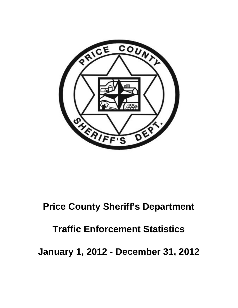

### **Price County Sheriff's Department**

## **Traffic Enforcement Statistics**

**January 1, 2012 - December 31, 2012**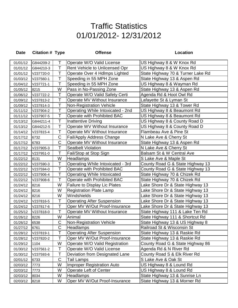| <b>Date</b> | <b>Citation # Type</b> |             | <b>Offense</b>                           | Location                          |
|-------------|------------------------|-------------|------------------------------------------|-----------------------------------|
| 01/01/12    | G844209-2              | Τ           | Operate W/O Valid License                | US Highway 8 & W Knox Rd          |
| 01/01/12    | G844210-3              | Т           | Rent Vehicle to Unlicensed Opr           | US Highway 8 & W Knox Rd          |
| 01/01/12    | V237720-0              | Τ           | Operate Over 4 Hdlmps Lighted            | State Highway 70 & Turner Lake Rd |
| 01/03/12    | V237560-1              | T           | Speeding in 55 MPH Zone                  | State Highway 13 & Aspen Rd       |
| 01/04/12    | V237721-1              | Т           | Speeding in 55 MPH Zone                  | US Highway 8 & Wayman Rd          |
| 01/05/12    | 8215                   | W           | Pass in No-Passing Zone                  | State Highway 13 & Aspen Rd       |
| 01/06/12    | V237722-2              | Т           | Operate W/O Valid Safety Certi           | Agenda Rd & Hoot Owl Rd           |
| 01/09/12    | V237813-2              | T           | Operate MV Without Insurance             | Lafayette St & Lyman St           |
| 01/09/12    | V237814-3              | Τ           | <b>Non-Registration Vehicle</b>          | State Highway 13 & Tower Rd       |
| 01/11/12    | V237904-2              | T           | Operating While Intoxicated - 2nd        | US Highway 8 & Beaumont Rd        |
| 01/11/12    | V237907-5              | Т           | Operate with Prohibited BAC              | US Highway 8 & Beaumont Rd        |
| 01/13/12    | G844211-4              | Τ           | <b>Inattentive Driving</b>               | US Highway 8 & County Road D      |
| 01/13/12    | G844212-5              | Τ           | Operate WV Without Insurance             | US Highway 8 & County Road D      |
| 01/14/12    | V237815-4              | Τ           | Operate MV Without Insurance             | Flambeau Ave & Pine St            |
| 01/17/12    | 6732                   | $\mathsf C$ | <b>Fail/Apply Address Change</b>         | N Lake Ave & Cherry St            |
| 01/17/12    | 6783                   | $\mathsf C$ | Operate MV Without Insurance             | State Highway 13 & Aspen Rd       |
| 01/17/12    | V237905-3              | T           | <b>Seatbelt Violation</b>                | N Lake Ave & Cherry St            |
| 01/17/12    | V237951-0              | Τ           | Fail/Stop at Stop Sign                   | Balsam St & W Central Ave         |
| 01/22/12    | 8131                   | W           | Headlamps                                | S Lake Ave & Maple St             |
| 01/22/12    | V237590-3              | Т           | <b>Operating While Intoxicated - 3rd</b> | County Road G & State Highway 13  |
| 01/22/12    | V237594-0              | T           | Operate with Prohibited BAC              | County Road G & State Highway 13  |
| 01/22/12    | V237906-4              | Τ           | <b>Operating While Intoxicated</b>       | State Highway 70 & Chizek Rd      |
| 01/22/12    | V237908-6              | Τ           | Operate with Prohibited BAC              | State Highway 70 & Chizek Rd      |
| 01/24/12    | 8216                   | W           | <b>Failure to Display Lic Plates</b>     | Lake Shore Dr & State Highway 13  |
| 01/24/12    | 8216                   | W           | <b>Registration Plate Lamp</b>           | Lake Shore Dr & State Highway 13  |
| 01/24/12    | 8216                   | W           | Windshields                              | Lake Shore Dr & State Highway 13  |
| 01/24/12    | V237816-5              | Τ           | <b>Operating After Suspension</b>        | Lake Shore Dr & State Highway 13  |
| 01/24/12    | V237817-6              | T           | Oper MV W/Out Proof-Insurance            | Lake Shore Dr & State Highway 13  |
| 01/25/12    | V237818-0              | T           | Operate MV Without Insurance             | State Highway 111 & Lake Ten Rd   |
| 01/26/12    | 8226                   | W           | Animal                                   | State Highway 111 & Shortcut Rd   |
| 01/26/12    | 6538                   | $\mathsf C$ | <b>Non-Registration Vehicle</b>          | State Highway 13 & US Highway 8   |
| 01/27/12    | 6761                   | $\mathsf C$ | Headlamps                                | Railroad St & Wisconsin St        |
| 01/28/12    | V237819-1              | Т           | <b>Operating After Suspension</b>        | State Highway 13 & Raskie Rd      |
| 01/28/12    | V237820-2              | Τ           | Oper MV W/Out Proof-Insurance            | State Highway 13 & Raskie Rd      |
| 01/29/12    | 1104                   | W           | Operate W/O Valid Registration           | County Road G & State Highway 86  |
| 01/30/12    | V237561-2              | Τ           | Operate W/O Valid License                | Agenda Rd & N River Rd            |
| 01/30/12    | V237593-6              | T           | Deviation from Designated Lane           | County Road S & Elk River Rd      |
| 02/01/12    | 6733                   | $\mathsf C$ | Tail Lamps                               | S Lake Ave & Oak St               |
| 02/03/12    | 7773                   | W           | <b>Improper Registration Auto</b>        | US Highway 8 & Lound Rd           |
| 02/03/12    | 7773                   | W           | Operate Left of Center                   | US Highway 8 & Lound Rd           |
| 02/03/12    | 8034                   | W           | Headlamps                                | State Highway 13 & Sunrise Ln     |
| 02/03/12    | 8218                   | W           | Oper MV W/Out Proof-Insurance            | State Highway 13 & Morner Rd      |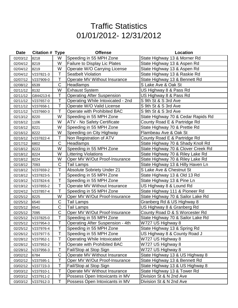| <b>Date</b> | <b>Citation # Type</b> |             | <b>Offense</b>                          | Location                           |
|-------------|------------------------|-------------|-----------------------------------------|------------------------------------|
| 02/03/12    | 8218                   | W           | Speeding in 55 MPH Zone                 | State Highway 13 & Morner Rd       |
| 02/04/12    | 8219                   | W           | <b>Failure to Display Lic Plates</b>    | State Highway 13 & Aspen Rd        |
| 02/04/12    | 8219                   | W           | Operate W/O Carrying License            | State Highway 13 & Aspen Rd        |
| 02/04/12    | V237821-3              | T           | <b>Seatbelt Violation</b>               | State Highway 13 & Raskie Rd       |
| 02/07/12    | V237909-0              | Τ           | Operate MV Without Insurance            | State Highway 13 & Bennett Rd      |
| 02/08/12    | 6539                   | $\mathsf C$ | Headlamps                               | S Lake Ave & Oak St                |
| 02/11/12    | 8132                   | W           | <b>Exhaust System</b>                   | US Highway 8 & Pass Rd             |
| 02/11/12    | G844213-6              | Τ           | <b>Operating After Suspension</b>       | US Highway 8 & Pass Rd             |
| 02/11/12    | V237657-0              | Τ           | Operating While Intoxicated - 2nd       | S 9th St & S 3rd Ave               |
| 02/11/12    | V237658-1              | T           | Operate W/O Valid License               | S 9th St & S 3rd Ave               |
| 02/11/12    | V237660-3              | Τ           | Operate with Prohibited BAC             | S 9th St & S 3rd Ave               |
| 02/13/12    | 8220                   | W           | Speeding in 55 MPH Zone                 | State Highway 70 & Cedar Rapids Rd |
| 02/16/12    | 1106                   | W           | <b>ATV - No Safety Certificate</b>      | County Road E & Partridge Rd       |
| 02/16/12    | 8221                   | W           | Speeding in 55 MPH Zone                 | State Highway 70 & Prettie Rd      |
| 02/16/12    | 8222                   | W           | Speeding on City Highway                | Flambeau Ave & Oak St              |
| 02/16/12    | V237822-4              | T           | Non Registration of ATV                 | County Road E & Partridge Rd       |
| 02/17/12    | 6802                   | $\mathsf C$ | Headlamps                               | State Highway 70 & Shady Knoll Rd  |
| 02/18/12    | 8223                   | W           | Speeding in 55 MPH Zone                 | State Highway 70 & Clover Creek Rd |
| 02/18/12    | 8224                   | W           | <b>Littering Violations</b>             | State Highway 70 & Riley Lake Rd   |
| 02/18/12    | 8224                   | W           | Oper MV W/Out Proof-Insurance           | State Highway 70 & Riley Lake Rd   |
| 02/18/12    | 7093                   | $\mathsf C$ | <b>Tail Lamps</b>                       | State Highway 13 & Hilly Haven Ln  |
| 02/18/12    | V237659-2              | Т           | <b>Absolute Sobriety Under 21</b>       | S Lake Ave & Chestnut St           |
| 02/18/12    | V237823-5              | T           | Speeding in 55 MPH Zone                 | State Highway 13 & Old 13 Rd       |
| 02/19/12    | V237824-6              | T           | Speeding in 55 MPH Zone                 | State Highway 13 & Pine Ln         |
| 02/19/12    | V237855-2              | T           | Operate MV Without Insurance            | US Highway 8 & Lound Rd            |
| 02/24/12    | V237857-4              | Τ           | Speeding in 55 MPH Zone                 | State Highway 111 & Pioneer Rd     |
| 02/25/12    | 8225                   | W           | Oper MV W/Out Proof-Insurance           | State Highway 70 & Sailor Lake Rd  |
| 02/25/12    | 6540                   | C           | <b>Tail Lamps</b>                       | Granberg Rd & US Highway 8         |
| 02/25/12    | 6541                   | $\mathsf C$ | <b>Tail Lamps</b>                       | US Highway 8 & Granberg Rd         |
| 02/25/12    | 7095                   | $\mathsf C$ | Oper MV W/Out Proof-Insurance           | County Road D & S Worcester Rd     |
| 02/25/12    | V237825-0              | Τ           | Speeding in 55 MPH Zone                 | State Highway 70 & Sailor Lake Rd  |
| 02/25/12    | V237954-3              | Т           | <b>Operating After Suspension - 4th</b> | W727 US Highway 8                  |
| 02/25/12    | V237976-4              | T           | Speeding in 55 MPH Zone                 | State Highway 13 & Spring Rd       |
| 02/26/12    | V237977-5              | T           | Speeding in 55 MPH Zone                 | US Highway 8 & County Road J       |
| 02/28/12    | V237952-1              | Т           | <b>Operating While Intoxicated</b>      | W727 US Highway 8                  |
| 02/28/12    | V237953-2              | Т           | Operate with Prohibited BAC             | W727 US Highway 8                  |
| 02/28/12    | V237956-3              | Т           | Fail/Stop at Stop Sign                  | W727 US Highway 8                  |
| 03/02/12    | 6784                   | C           | Operate MV Without Insurance            | State Highway 13 & US Highway 8    |
| 03/02/12    | V237595-1              | Τ           | Oper MV W/Out Proof-Insurance           | State Highway 13 & Bennett Rd      |
| 03/02/12    | V237723-3              | T           | Fail/Stop at Stop Sign                  | State Highway 13 & US Highway 8    |
| 03/03/12    | V237910-1              | T           | Operate MV Without Insurance            | State Highway 13 & Tower Rd        |
| 03/03/12    | V237911-2              | Τ           | Possess Open Intoxicants in MV          | Division St & N 2nd Ave            |
| 03/03/12    | V237912-3              | T           | Possess Open Intoxicants in MV          | Division St & N 2nd Ave            |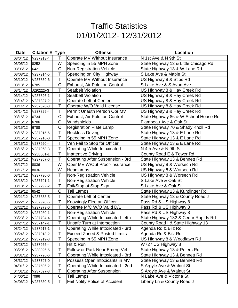| <b>Date</b> | <b>Citation # Type</b> |                              | <b>Offense</b>                          | Location                             |
|-------------|------------------------|------------------------------|-----------------------------------------|--------------------------------------|
| 03/04/12    | V237913-4              | T                            | Operate MV Without Insurance            | N 1st Ave & N 9th St                 |
| 03/05/12    | 8252                   | W                            | Speeding in 55 MPH Zone                 | State Highway 13 & Little Chicago Rd |
| 03/05/12    | 6421                   | $\mathsf C$                  | <b>Non-Registration Vehicle</b>         | State Highway 13 & W Lane Rd         |
| 03/08/12    | V237914-5              | Τ                            | Speeding on City Highway                | S Lake Ave & Maple St                |
| 03/10/12    | V237859-6              | T                            | Operate MV Without Insurance            | US Highway 8 & Stibs Rd              |
| 03/13/12    | 6785                   | $\mathsf C$                  | <b>Exhaust, Air Polution Control</b>    | S Lake Ave & S Avon Ave              |
| 03/14/12    | J292225-3              | T                            | <b>Seatbelt Violation</b>               | US Highway 8 & Hay Creek Rd          |
| 03/14/12    | V237826-1              | Т                            | <b>Seatbelt Violation</b>               | US Highway 8 & Hay Creek Rd          |
| 03/14/12    | V237827-2              | Т                            | <b>Operate Left of Center</b>           | US Highway 8 & Hay Creek Rd          |
| 03/14/12    | V237828-3              | T                            | Operate W/O Valid License               | US Highway 8 & Hay Creek Rd          |
| 03/14/12    | V237829-4              | T                            | Permit Unauth Person Opr MV             | US Highway 8 & Hay Creek Rd          |
| 03/15/12    | 6734                   | $\mathsf C$                  | <b>Exhaust, Air Polution Control</b>    | State Highway 86 & W School House Rd |
| 03/15/12    | 6786                   | C                            | Windshields                             | Flambeau Ave & Oak St                |
| 03/15/12    | 6788                   | $\mathsf C$                  | <b>Registration Plate Lamp</b>          | State Highway 70 & Shady Knoll Rd    |
| 03/15/12    | V237915-6              | Т                            | <b>Reckless Driving</b>                 | State Highway 13 & E Lane Rd         |
| 03/15/12    | V237916-0              | T                            | Speeding in 55 MPH Zone                 | State Highway 13 & E Lane Rd         |
| 03/15/12    | V237920-4              | T                            | Veh Fail to Stop for Officer            | State Highway 13 & E Lane Rd         |
| 03/15/12    | V237968-3              | T                            | <b>Operating While Intoxicated</b>      | N 4th Ave & N 9th St                 |
| 03/15/12    | V238001-1              | T                            | <b>Inattentive Driving</b>              | County Road E & Tower Rd             |
| 03/16/12    | V237957-6              | T                            | <b>Operating After Suspension - 3rd</b> | State Highway 13 & Bennett Rd        |
| 03/17/12    | 8036                   | W                            | Oper MV W/Out Proof-Insurance           | US Highway 8 & Worsech Rd            |
| 03/17/12    | 8036                   | W                            | Headlamps                               | US Highway 8 & Worsech Rd            |
| 03/17/12    | V237790-0              | T                            | <b>Non-Registration Vehicle</b>         | US Highway 8 & Worsech Rd            |
| 03/18/12    | V237791-1              | Τ                            | <b>Non-Registration Vehicle</b>         | S Lake Ave & Oak St                  |
| 03/18/12    | V237792-2              | T                            | Fail/Stop at Stop Sign                  | S Lake Ave & Oak St                  |
| 03/19/12    | 6542                   | $\mathsf C$                  | <b>Tail Lamps</b>                       | State Highway 13 & Kundinger Rd      |
| 03/21/12    | V237858-5              | T                            | <b>Operate Left of Center</b>           | State Highway 13 & County Road J     |
| 03/22/12    | V237978-6              | T                            | Knowingly Flee an Officer               | Pass Rd & US Highway 8               |
| 03/22/12    | V237979-0              | T                            | Operate M/C W/O Valid D/L               | Pass Rd & US Highway 8               |
| 03/22/12    | V237980-1              | $\mathbf{r}$<br>$\mathbf{I}$ | Non-Registration Vehicle                | Pass Rd & US Highway 8               |
| 03/23/12    | V237794-4              | Τ                            | Operating While Intoxicated - 4th       | State Highway 182 & Cedar Rapids Rd  |
| 03/24/12    | V237147-1              | Τ                            | Unsafe Turn at Intersection             | County Road I & State Highway 13     |
| 03/24/12    | V237917-1              | Т                            | Operating While Intoxicated - 3rd       | Agenda Rd & Bilz Rd                  |
| 03/24/12    | V237918-2              | Τ                            | <b>Exceed Zoned &amp; Posted Limits</b> | Agenda Rd & Bilz Rd                  |
| 03/25/12    | V237919-3              | Τ                            | Speeding in 55 MPH Zone                 | US Highway 8 & Woodlawn Rd           |
| 03/28/12    | V237955-4              | Т                            | Hit & Run                               | W727 US Highway 8                    |
| 03/29/12    | V238026-5              | Т                            | Follow or Park Near Emerg Veh           | State Highway 13 & Peters Rd         |
| 03/31/12    | V237796-6              | Т                            | Operating While Intoxicated - 3rd       | State Highway 13 & Bennett Rd        |
| 03/31/12    | V237797-0              | Т                            | Possess Open Intoxicants in MV          | State Highway 13 & Bennett Rd        |
| 04/01/12    | V237596-2              | Т                            | Operating While Intoxicated - 2nd       | S Argyle Ave & Walnut St             |
| 04/01/12    | V237597-3              | Т                            | <b>Operating After Suspension</b>       | S Argyle Ave & Walnut St             |
| 04/06/12    | 7096                   | C                            | <b>Tail Lamps</b>                       | N Lake Ave & Victoria St             |
| 04/06/12    | V237830-5              | Τ                            | Fail Notify Police of Accident          | Liberty Ln & County Road J           |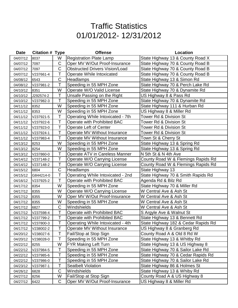| <b>Date</b> | <b>Citation # Type</b> |                | <b>Offense</b>                        | Location                            |
|-------------|------------------------|----------------|---------------------------------------|-------------------------------------|
| 04/07/12    | 8037                   | W              | <b>Registration Plate Lamp</b>        | State Highway 13 & County Road X    |
| 04/07/12    | 7097                   | C              | Oper MV W/Out Proof-Insurance         | State Highway 70 & County Road B    |
| 04/07/12    | 7097                   | $\overline{C}$ | <b>Obstructed Drivers Vision/Load</b> | State Highway 70 & County Road B    |
| 04/07/12    | V237661-4              | T              | Operate While Intoxicated             | State Highway 70 & County Road B    |
| 04/08/12    | 6543                   | $\mathsf C$    | <b>Headlamps</b>                      | State Highway 13 & Simon Rd         |
| 04/08/12    | V237981-2              | Т              | Speeding in 55 MPH Zone               | State Highway 70 & Perch Lake Rd    |
| 04/10/12    | 8351                   | W              | Operate W/O Valid License             | State Highway 70 & Dynamite Rd      |
| 04/10/12    | J292574-2              | Τ              | Unsafe Passing on the Right           | US Highway 8 & Pass Rd              |
| 04/10/12    | V237982-3              | Τ              | Speeding in 55 MPH Zone               | State Highway 70 & Dynamite Rd      |
| 04/11/12    | 8352                   | W              | Speeding in 55 MPH Zone               | State Highway 111 & Hurban Rd       |
| 04/11/12    | 8353                   | W              | Speeding in 55 MPH Zone               | US Highway 8 & Miller Rd            |
| 04/11/12    | V237921-5              | T              | Operating While Intoxicated - 7th     | Tower Rd & Division St              |
| 04/11/12    | V237922-6              | T              | Operate with Prohibited BAC           | Tower Rd & Division St              |
| 04/11/12    | V237923-0              | T              | <b>Operate Left of Center</b>         | Tower Rd & Division St              |
| 04/11/12    | V237924-1              | Т              | Operate MV Without Insurance          | Tower Rd & Division St              |
| 04/11/12    | V237983-4              | T              | Operate MV Without Insurance          | Town St & Cherry St                 |
| 04/13/12    | 8253                   | W              | Speeding in 55 MPH Zone               | State Highway 13 & Spring Rd        |
| 04/13/12    | 8254                   | W              | Speeding in 55 MPH Zone               | State Highway 13 & Spring Rd        |
| 04/13/12    | V237860-0              | $\mathsf T$    | <b>Operate ATV in Careless Manner</b> | N 5th St & N 4th Ave                |
| 04/14/12    | V237148-2              | Τ              | Operate W/O Carrying License          | County Road W & Flemings Rapids Rd  |
| 04/14/12    | V237148-2              | T              | Operate W/O Carrying License          | County Road W & Flemings Rapids Rd  |
| 04/15/12    | 6804                   | C              | Headlamps                             | State Highway 13                    |
| 04/15/12    | G844214-0              | T              | Operating While Intoxicated - 2nd     | State Highway 70 & Smith Rapids Rd  |
| 04/16/12    | V237925-2              | T              | Operate with Prohibited BAC           | Agenda Rd & Bilz Rd                 |
| 04/17/12    | 8354                   | W              | Speeding in 55 MPH Zone               | State Highway 70 & Miller Rd        |
| 04/17/12    | 8355                   | W              | Operate W/O Carrying License          | W Central Ave & Ash St              |
| 04/17/12    | 8355                   | W              | Oper MV W/Out Proof-Insurance         | W Central Ave & Ash St              |
| 04/17/12    | 8355                   | W              | Speeding in 55 MPH Zone               | W Central Ave & Ash St              |
| 04/17/12    | 6827                   | $\mathsf C$    | Windshields                           | W Central Ave & Ash St              |
| 04/17/12    | V237598-4              | $\top$         | Operate with Prohibited BAC           | S Argyle Ave & Walnut St            |
| 04/17/12    | V237799-2              | Τ              | Operate with Prohibited BAC           | State Highway 13 & Bennett Rd       |
| 04/17/12    | V237800-3              | T              | Operating While Intoxicated - 4th     | State Highway 182 & Cedar Rapids Rd |
| 04/17/12    | V238002-2              | T              | Operate MV Without Insurance          | US Highway 8 & Granberg Rd          |
| 04/20/12    | V238027-6              | T              | Fail/Stop at Stop Sign                | County Road A & Old 8 Rd W          |
| 04/20/12    | V238028-0              | Τ              | Speeding in 55 MPH Zone               | State Highway 13 & Whitby Rd        |
| 04/22/12    | 8255                   | W              | <b>FYR Making Left Turn</b>           | State Highway 13 & US Highway 8     |
| 04/22/12    | V237984-5              | Т              | Speeding in 55 MPH Zone               | State Highway 70 & Sailor Lake Rd   |
| 04/22/12    | V237985-6              | Τ              | Speeding in 55 MPH Zone               | State Highway 70 & Cedar Rapids Rd  |
| 04/22/12    | V237986-0              | Τ              | Speeding in 55 MPH Zone               | State Highway 70 & Sailor Lake Rd   |
| 04/23/12    | V237987-1              | Τ              | <b>Seatbelt Violation</b>             | State Highway 86 & Holmes St        |
| 04/26/12    | 6828                   | C              | Windshields                           | State Highway 13 & Whiby Rd         |
| 04/27/12    | 8256                   | W              | Fail/Stop at Stop Sign                | County Road A & US Highway 8        |
| 04/27/12    | 6422                   | C              | Oper MV W/Out Proof-Insurance         | US Highway 8 & Miller Rd            |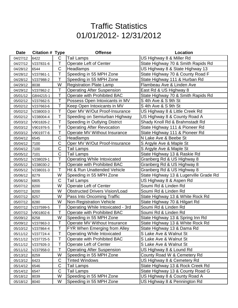| <b>Date</b> | <b>Citation # Type</b> |              | <b>Offense</b>                        | <b>Location</b>                        |
|-------------|------------------------|--------------|---------------------------------------|----------------------------------------|
| 04/27/12    | 6422                   | C            | <b>Tail Lamps</b>                     | US Highway 8 & Miller Rd               |
| 04/27/12    | V237831-6              | Т            | Operate Left of Center                | State Highway 70 & Smith Rapids Rd     |
| 04/28/12    | 6544                   | C            | Headlamps                             | US Highway 8 & State Highway 13        |
| 04/28/12    | V237861-1              | T            | Speeding in 55 MPH Zone               | State Highway 70 & County Road F       |
| 04/28/12    | V237988-2              | Τ            | Speeding in 55 MPH Zone               | State Highway 111 & Hurban Rd          |
| 04/29/12    | 8038                   | W            | <b>Registration Plate Lamp</b>        | Flambeau Ave & Linden Ave              |
| 04/29/12    | V237862-2              | T            | <b>Operating After Suspension</b>     | East Rd & US Highway 8                 |
| 05/01/12    | G844215-1              | T            | Operate with Prohibited BAC           | State Highway 70 & Smith Rapids Rd     |
| 05/02/12    | V237662-5              | Τ            | Possess Open Intoxicants in MV        | S 4th Ave & S 9th St                   |
| 05/02/12    | V237663-6              | T            | Keep Open Intoxicants in MV           | S 4th Ave & S 9th St                   |
| 05/02/12    | V238003-3              | Т            | Oper MV W/Out Proof-Insurance         | US Highway 8 & Little Creek Rd         |
| 05/02/12    | V238004-4              | T            | Speeding on Semiurban Highway         | US Highway 8 & County Road A           |
| 05/03/12    | V901826-2              | Т            | Speeding in Outlying District         | Shady Knoll Rd & Brahmstadt Rd         |
| 05/03/12    | V901976-5              | Т            | <b>Operating After Revocation</b>     | State Highway 111 & Pioneer Rd         |
| 05/03/12    | V901977-6              | Τ            | Operate MV Without Insurance          | State Highway 111 & Pioneer Rd         |
| 05/04/12    | 6545                   | C            | <b>Headlamps</b>                      | N Lake Ave & Beebe St                  |
| 05/04/12    | 7100                   | $\mathsf C$  | Oper MV W/Out Proof-Insurance         | S Argyle Ave & Maple St                |
| 05/04/12    | 7100                   | $\mathsf C$  | <b>Tail Lamps</b>                     | S Argyle Ave & Maple St                |
| 05/05/12    | 7101                   | $\mathsf C$  | <b>Tail Lamps</b>                     | State Highway 13 & Raskie Rd           |
| 05/05/12    | V238029-1              | Τ            | <b>Operating While Intoxicated</b>    | Granberg Rd & US Highway 8             |
| 05/05/12    | V238030-2              | $\mathsf{T}$ | Operate with Prohibited BAC           | Granberg Rd & US Highway 8             |
| 05/05/12    | V238031-3              | Т            | Hit & Run Unattended Vehicle          | Granberg Rd & US Highway 8             |
| 05/06/12    | 8279                   | W            | Speeding in 55 MPH Zone               | State Highway 13 & Lugerville Grade Rd |
| 05/06/12    | 6805                   | C            | Tail Lamps                            | US Highway 8 & Aspen Rd                |
| 05/07/12    | 8200                   | W            | <b>Operate Left of Center</b>         | Soumi Rd & Linden Rd                   |
| 05/07/12    | 8200                   | W            | <b>Obstructed Drivers Vision/Load</b> | Soumi Rd & Linden Rd                   |
| 05/07/12    | 8257                   | W            | Pass Into Oncoming Traffic            | State Highway 13 & White Rock Rd       |
| 05/07/12    | 8280                   | W            | <b>Non-Registration Vehicle</b>       | State Highway 70 & Hilgart Rd          |
| 05/07/12    | V237599-5              | Τ            | Operating While Intoxicated - 3rd     | Soumi Rd & Linden Rd                   |
| 05/07/12    | V901802-6              | T.           | Operate with Prohibited BAC           | Soumi Rd & Linden Rd                   |
| 05/09/12    | 8258                   | W            | Speeding in 55 MPH Zone               | State Highway 13 & Spring Inn Rd       |
| 05/09/12    | V237863-3              | T            | Operate MV Without Insurance          | State Highway 13 & White Rock Rd       |
| 05/10/12    | V237864-4              | Т            | FYR When Emerging from Alley          | State Highway 13 & Dama Rd             |
| 05/11/12    | V237724-4              | Т            | <b>Operating While Intoxicated</b>    | S Lake Ave & Walnut St                 |
| 05/11/12    | V237725-5              | T            | Operate with Prohibited BAC           | S Lake Ave & Walnut St                 |
| 05/11/12    | V237926-3              | T            | <b>Operate Left of Center</b>         | S Lake Ave & Walnut St                 |
| 05/11/12    | V237958-0              | Т            | <b>Operating After Suspension</b>     | US Highway 8 & Lound Rd                |
| 05/13/12    | 8259                   | W            | Speeding in 55 MPH Zone               | County Road W & Cemetery Rd            |
| 05/13/12    | 6423                   | C            | <b>Tinted Windows</b>                 | US Highway 8 & Cemetery Rd             |
| 05/14/12    | 6546                   | $\mathsf C$  | <b>Tail Lamps</b>                     | State Highway 13 & Rock Creek Rd       |
| 05/14/12    | 6547                   | $\mathsf C$  | <b>Tail Lamps</b>                     | State Highway 13 & County Road G       |
| 05/18/12    | 8039                   | W            | Speeding in 55 MPH Zone               | US Highway 8 & County Road A           |
| 05/18/12    | 8040                   | W            | Speeding in 55 MPH Zone               | US Highway 8 & Pennington Rd           |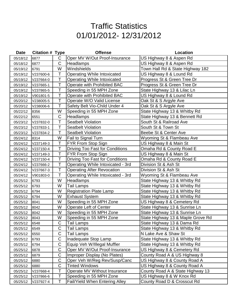| <b>Date</b> | <b>Citation # Type</b> |             | <b>Offense</b>                         | <b>Location</b>                   |
|-------------|------------------------|-------------|----------------------------------------|-----------------------------------|
| 05/18/12    | 6877                   | C           | Oper MV W/Out Proof-Insurance          | US Highway 8 & Aspen Rd           |
| 05/18/12    | 6877                   | $\mathsf C$ | Headlamps                              | US Highway 8 & Aspen Rd           |
| 05/19/12    | 6791                   | W           | Windshields                            | Town Hall Rd & State Highway 182  |
| 05/19/12    | V237600-6              | Τ           | <b>Operating While Intoxicated</b>     | US Highway 8 & Lound Rd           |
| 05/19/12    | V237664-0              | Т           | <b>Operating While Intoxicated</b>     | Progress St & Green Tree Dr       |
| 05/19/12    | V237665-1              | Т           | Operate with Prohibited BAC            | Progress St & Green Tree Dr       |
| 05/19/12    | V237865-5              | T           | Speeding in 55 MPH Zone                | State Highway 13 & Lilac Ln       |
| 05/19/12    | V901801-5              | Т           | Operate with Prohibited BAC            | US Highway 8 & Lound Rd           |
| 05/20/12    | V238005-5              | Т           | Operate W/O Valid License              | Oak St & S Argyle Ave             |
| 05/20/12    | V238006-6              | Τ           | Safety Belt Vio-Child Under 4          | Oak St & S Argyle Ave             |
| 05/22/12    | 8356                   | W           | Speeding in 55 MPH Zone                | State Highway 13 & Whitby Rd      |
| 05/22/12    | 6551                   | $\mathsf C$ | Headlamps                              | State Highway 13 & Bennett Rd     |
| 05/23/12    | V237832-0              | Τ           | <b>Seatbelt Violation</b>              | South St & Railroad Ave           |
| 05/23/12    | V237833-1              | Τ           | <b>Seatbelt Violation</b>              | South St & Town St                |
| 05/23/12    | V237834-2              | Τ           | <b>Seatbelt Violation</b>              | Beebe St & Center Ave             |
| 05/24/12    | 8314                   | W           | <b>Fail to Signal Turn</b>             | Wyoming St & Flambeau Ave         |
| 05/24/12    | V237149-3              | Т           | FYR From Stop Sign                     | US Highway 8 & Main St            |
| 05/24/12    | V237150-4              | T           | <b>Driving Too Fast for Conditions</b> | Omaha Rd & County Road E          |
| 05/24/12    | V237149-3              | Τ           | FYR From Stop Sign                     | US Highway 8 & Main St            |
| 05/24/12    | V237150-4              | Τ           | Driving Too Fast for Conditions        | Omaha Rd & County Road E          |
| 05/24/12    | V237666-2              | Τ           | Operating While Intoxicated - 3rd      | Division St & Ash St              |
| 05/24/12    | V237667-3              | Τ           | <b>Operating After Revocation</b>      | Division St & Ash St              |
| 05/24/12    | V901803-0              | T           | Operating While Intoxicated - 3rd      | Wyoming St & Flambeau Ave         |
| 05/25/12    | 6793                   | W           | Headlamps                              | State Highway 13 & Whitby Rd      |
| 05/25/12    | 6793                   | W           | <b>Tail Lamps</b>                      | State Highway 13 & Whitby Rd      |
| 05/25/12    | 6794                   | W           | <b>Registration Plate Lamp</b>         | State Highway 13 & Whitby Rd      |
| 05/25/12    | 6794                   | W           | <b>Exhaust System</b>                  | State Highway 13 & Whitby Rd      |
| 05/25/12    | 8041                   | W           | Speeding in 55 MPH Zone                | US Highway 8 & Cemetery Rd        |
| 05/25/12    | 8042                   | W           | Operate Left of Center                 | State Highway 13 & Sunrise Ln     |
| 05/25/12    | 8042                   | W           | Speeding in 55 MPH Zone                | State Highway 13 & Sunrise Ln     |
| 05/25/12    | 8043                   | W           | Speeding in 55 MPH Zone                | State Highway 13 & Maple Grove Rd |
| 05/25/12    | 6548                   | C           | Tail Lamps                             | State Highway 13 & Dama Rd        |
| 05/25/12    | 6549                   | C           | <b>Tail Lamps</b>                      | State Highway 13 & Whitby Rd      |
| 05/25/12    | 6550                   | C           | Tail Lamps                             | N Lake Ave & Shaw St              |
| 05/25/12    | 6793                   | C           | Inadequate Stop Lamp                   | State Highway 13 & Whitby Rd      |
| 05/25/12    | 6794                   | $\mathsf C$ | Equip Veh W/Illegal Muffler            | State Highway 13 & Whitby Rd      |
| 05/25/12    | 6878                   | C           | Oper MV W/Out Proof-Insurance          | US Highway 8 & Cemetery Rd        |
| 05/25/12    | 6879                   | $\mathsf C$ | Improper Display (No Plates)           | County Road A & US Highway 8      |
| 05/25/12    | 6880                   | $\mathsf C$ | Oper Veh W/Reg Rev/Susp/Canc           | US Highway 8 & County Road A      |
| 05/25/12    | 6880                   | C           | <b>Tinted Windows</b>                  | US Highway 8 & County Road A      |
| 05/25/12    | V237668-4              | Т           | Operate MV Without Insurance           | County Road A & State Highway 13  |
| 05/25/12    | V237866-6              | Τ           | Speeding in 55 MPH Zone                | US Highway 8 & W Knox Rd          |
| 05/25/12    | V237927-4              | Τ           | <b>Fail/Yield When Entering Alley</b>  | County Road D & Crosscut Rd       |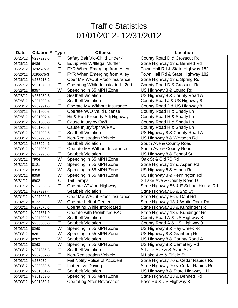| <b>Date</b> | <b>Citation # Type</b> |    | <b>Offense</b>                        | Location                             |
|-------------|------------------------|----|---------------------------------------|--------------------------------------|
| 05/25/12    | V237928-5              | Τ  | Safety Belt Vio-Child Under 4         | County Road D & Crosscut Rd          |
| 05/26/12    | 6486                   | C  | Equip Veh W/Illegal Muffler           | State Highway 13 & Bennett Rd        |
| 05/26/12    | J292575-3              | T  | <b>FYR When Emerging from Alley</b>   | Town Hall Rd & State Highway 182     |
| 05/26/12    | J295575-3              | Τ  | FYR When Emerging from Alley          | Town Hall Rd & State Highway 182     |
| 05/26/12    | V237218-2              | T  | Oper MV W/Out Proof-Insurance         | State Highway 13 & Spring Rd         |
| 05/27/12    | V901978-0              | Т  | Operating While Intoxicated - 2nd     | County Road D & Crosscut Rd          |
| 05/28/12    | 8357                   | W  | Speeding in 55 MPH Zone               | US Highway 8 & Lound Rd              |
| 05/28/12    | V237989-3              | Τ  | <b>Seatbelt Violation</b>             | US Highway 8 & County Road A         |
| 05/28/12    | V237990-4              | Τ  | <b>Seatbelt Violation</b>             | County Road J & US Highway 8         |
| 05/28/12    | V237991-5              | Τ  | Operate MV Without Insurance          | County Road J & US Highway 8         |
| 05/28/12    | V901806-3              | Τ  | Operate W/O Valid License             | County Road H & Shady Ln             |
| 05/28/12    | V901807-4              | T  | Hit & Run Property Adj Highway        | County Road H & Shady Ln             |
| 05/28/12    | V901808-5              | Т  | Cause Injury by OWI                   | County Road H & Shady Ln             |
| 05/28/12    | V901809-6              | T  | Cause Injury/Opr W/PAC                | County Road H & Shady Ln             |
| 05/30/12    | V237992-6              | T  | <b>Seatbelt Violation</b>             | US Highway 8 & County Road A         |
| 05/30/12    | V237993-0              | Τ  | <b>Non-Registration Vehicle</b>       | US Highway 8 & Worsech Rd            |
| 05/30/12    | V237994-1              | Τ  | <b>Seatbelt Violation</b>             | South Ave & County Road I            |
| 05/30/12    | V237995-2              | Τ  | Operate MV Without Insurance          | South Ave & County Road I            |
| 05/30/12    | V237996-3              | Τ  | <b>Seatbelt Violation</b>             | US Highway 8 & School St             |
| 05/31/12    | 7904                   | W  | Speeding in 55 MPH Zone               | Oak St & Old 70 Rd                   |
| 05/31/12    | 8121                   | W  | Speeding in 55 MPH Zone               | State Highway 13 & Aspen Rd          |
| 05/31/12    | 8358                   | W  | Speeding in 55 MPH Zone               | US Highway 8 & Aspen Rd              |
| 05/31/12    | 8359                   | W  | Speeding in 55 MPH Zone               | US Highway 8 & Pennington Rd         |
| 05/31/12    | 6902                   | C  | Tail Lamps                            | S Lake Ave & County Road D           |
| 05/31/12    | V237669-5              | T  | Operate ATV on Highway                | State Highway 86 & E School House Rd |
| 05/31/12    | V237997-4              | Т  | <b>Seatbelt Violation</b>             | State Highway 86 & 2nd St            |
| 05/31/12    | V237998-5              | T  | Oper MV W/Out Proof-Insurance         | State Highway 86 & Dahl Rd           |
| 06/02/12    | 8122                   | W  | <b>Operate Left of Center</b>         | State Highway 13 & White Rock Rd     |
| 06/02/12    | V237670-6              | Τ  | <b>Operating While Intoxicated</b>    | State Highway 13 & Kundinger Rd      |
| 06/02/12    | V237671-0              | T. | Operate with Prohibited BAC           | State Highway 13 & Kundinger Rd      |
| 06/02/12    | V237999-6              | Τ  | <b>Seatbelt Violation</b>             | County Road A & US Highway 8         |
| 06/02/12    | V238000-0              | Т  | <b>Seatbelt Violation</b>             | County Road A & US Highway 8         |
| 06/03/12    | 8260                   | W  | Speeding in 55 MPH Zone               | US Highway 8 & Hay Creek Rd          |
| 06/03/12    | 8261                   | W  | Speeding in 55 MPH Zone               | US Highway 8 & Granberg Rd           |
| 06/03/12    | 8262                   | W  | <b>Seatbelt Violation</b>             | US Highway 8 & County Road A         |
| 06/03/12    | 8263                   | W  | Speeding in 55 MPH Zone               | US Highway 8 & Cemetery Rd           |
| 06/03/12    | V237835-3              | Τ  | <b>Seatbelt Violation</b>             | S Lake Ave & S Avon Ave              |
| 06/03/12    | V237867-0              | Τ  | <b>Non-Registration Vehicle</b>       | N Lake Ave & Fifield St              |
| 06/03/12    | V238032-4              | Τ  | <b>Fail Notify Police of Accident</b> | State Highway 70 & Cedar Rapids Rd   |
| 06/03/12    | V238033-5              | Τ  | <b>Inattentive Driving</b>            | State Highway 70 & Cedar Rapids Rd   |
| 06/03/12    | V901851-6              | Т  | <b>Seatbelt Violation</b>             | US Highway 8 & State Highway 111     |
| 06/03/12    | V901852-0              | Т  | Speeding in 55 MPH Zone               | State Highway 13 & Bennett Rd        |
| 06/03/12    | V901853-1              | Τ  | <b>Operating After Revocation</b>     | Pass Rd & US Highway 8               |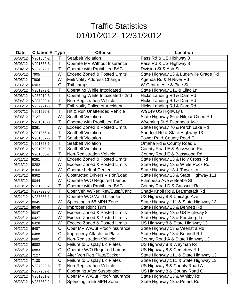| <b>Date</b> | <b>Citation # Type</b> |             | <b>Offense</b>                          | Location                               |
|-------------|------------------------|-------------|-----------------------------------------|----------------------------------------|
| 06/03/12    | V901854-2              | Τ           | <b>Seatbelt Violation</b>               | Pass Rd & US Highway 8                 |
| 06/03/12    | V901855-3              | Т           | Operate MV Without Insurance            | Pass Rd & US Highway 8                 |
| 06/04/12    | V237672-1              | T           | Operate with Prohibited BAC             | Division St & Ash St                   |
| 06/05/12    | 7905                   | W           | <b>Exceed Zoned &amp; Posted Limits</b> | State Highway 13 & Lugerville Grade Rd |
| 06/05/12    | 7906                   | W           | <b>Fail/Notify Address Change</b>       | Agenda Rd & N River Rd                 |
| 06/05/12    | 6903                   | C           | Tail Lamps                              | W Central Ave & Pine St                |
| 06/05/12    | V901979-1              | Τ           | <b>Operating While Intoxicated</b>      | State Highway 111 & Lilac Ln           |
| 06/06/12    | V237219-3              | Τ           | Operating While Intoxicated - 2nd       | Hicks Landing Rd & Dam Rd              |
| 06/06/12    | V237220-4              | Τ           | <b>Non-Registration Vehicle</b>         | Hicks Landing Rd & Dam Rd              |
| 06/06/12    | V237221-5              | Τ           | <b>Fail Notify Police of Accident</b>   | Hicks Landing Rd & Dam Rd              |
| 06/07/12    | V901526-3              | Τ           | Hit & Run Unattended Vehicle            | W9149 US Highway 8                     |
| 06/08/12    | 7127                   | W           | <b>Seatbelt Violation</b>               | State Highway 86 & Hilmar Olson Rd     |
| 06/08/12    | V901810-0              | Τ           | Operate with Prohibited BAC             | Wyoming St & Flambeau Ave              |
| 06/09/12    | 8361                   | W           | <b>Exceed Zoned &amp; Posted Limits</b> | State Highway 70 & Perch Lake Rd       |
| 06/09/12    | V901856-4              | Т           | <b>Seatbelt Violation</b>               | Shortcut Rd & State Highway 13         |
| 06/09/12    | V901857-5              | Т           | <b>Seatbelt Violation</b>               | Tower Rd & County Road E               |
| 06/09/12    | V901858-6              | Т           | <b>Seatbelt Violation</b>               | Omaha Rd & County Road E               |
| 06/09/12    | V901859-0              | Τ           | <b>Seatbelt Violation</b>               | County Road E & Basswood Rd            |
| 06/09/12    | V901860-1              | Τ           | <b>Non-Registration Vehicle</b>         | County Road E & Basswood Rd            |
| 06/11/12    | 8281                   | W           | <b>Exceed Zoned &amp; Posted Limits</b> | State Highway 13 & Holy Cross Rd       |
| 06/13/12    | 8282                   | W           | <b>Exceed Zoned &amp; Posted Limits</b> | State Highway 13 & White Rock Rd       |
| 06/13/12    | 8360                   | W           | Operate Left of Center                  | State Highway 13 & Tower Ln            |
| 06/13/12    | 8362                   | W           | <b>Obstructed Drivers Vision/Load</b>   | State Highway 13 & State Highway 111   |
| 06/15/12    | 8044                   | W           | Operate W/O Required Lamps              | Flambeau Ave & Beebe St                |
| 06/18/12    | V901980-2              | T           | Operate with Prohibited BAC             | County Road D & Crosscut Rd            |
| 06/19/12    | V237929-6              | Т           | Oper Veh W/Reg Rev/Susp/Canc            | Shady Knoll Rd & Brahmstadt Rd         |
| 06/21/12    | V237868-1              | T           | Operate W/O Valid License               | US Highway 8 & Chicago Ave             |
| 06/22/12    | 8045                   | W           | Speeding in 55 MPH Zone                 | State Highway 111 & State Highway 13   |
| 06/22/12    | 8046                   | W           | Improper Right Turn                     | State Highway 13 & Bennett Rd          |
| 06/22/12    | 8047                   | W           | <b>Exceed Zoned &amp; Posted Limits</b> | State Highway 13 & US Highway 8        |
| 06/22/12    | 6427                   | W           | <b>Exceed Zoned &amp; Posted Limits</b> | State Highway 13 & Forsberg Ln         |
| 06/22/12    | 6428                   | W           | <b>Exceed Zoned &amp; Posted Limits</b> | US Highway 8 & State Highway 13        |
| 06/22/12    | 6487                   | С           | Oper MV W/Out Proof-Insurance           | State Highway 13 & Veenstra Rd         |
| 06/22/12    | 6488                   | $\mathsf C$ | <b>Improperly Attach Lic Plate</b>      | State Highway 13 & Bennett Rd          |
| 06/22/12    | 6881                   | $\mathsf C$ | <b>Non-Registration Vehicle</b>         | County Road A & State Highway 13       |
| 06/22/12    | 6882                   | $\mathsf C$ | <b>Failure to Display Lic Plates</b>    | US Highway 8 & Wayman Rd               |
| 06/22/12    | 6883                   | C           | Operate W/O Required Lamps              | US Highway 8 & Cemetery Rd             |
| 06/22/12    | 7127                   | $\mathsf C$ | Alter Veh Reg Plate/Sticker             | State Highway 111 & State Highway 13   |
| 06/22/12    | 7130                   | $\mathsf C$ | <b>Failure to Display Lic Plates</b>    | State Highway 111 & State Highway 13   |
| 06/22/12    | V237222-6              | Т           | <b>Non-Registration Vehicle</b>         | US Highway 8 & County Road A           |
| 06/22/12    | V237959-1              | T           | <b>Operating After Suspension</b>       | US Highway 8 & County Road O           |
| 06/22/12    | V901981-3              | Т           | Oper MV W/Out Proof-Insurance           | State Highway 13 & Whitby Rd           |
| 06/23/12    | V237869-2              | Τ           | Speeding in 55 MPH Zone                 | State Highway 13 & Peters Rd           |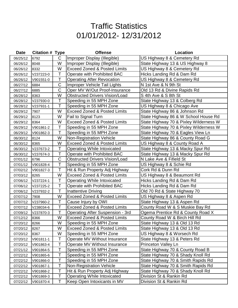| <b>Date</b> | <b>Citation # Type</b> |              | <b>Offense</b>                          | Location                               |
|-------------|------------------------|--------------|-----------------------------------------|----------------------------------------|
| 06/25/12    | 6792                   | $\mathsf{C}$ | Improper Display (Illegible)            | US Highway 8 & Cemetery Rd             |
| 06/26/12    | 8048                   | W            | Improper Display (Illegible)            | State Highway 13 & US Highway 8        |
| 06/26/12    | 8332                   | W            | <b>Exceed Zoned &amp; Posted Limits</b> | US Highway 8 & Cemetery Rd             |
| 06/26/12    | V237223-0              | T            | Operate with Prohibited BAC             | Hicks Landing Rd & Dam Rd              |
| 06/26/12    | V901551-0              | T            | <b>Operating After Revocation</b>       | US Highway 8 & Cemetery Rd             |
| 06/27/12    | 6884                   | $\mathsf C$  | Improper Vehicle Tail Lights            | N 1st Ave & N 9th St                   |
| 06/27/12    | 6885                   | $\mathsf C$  | Oper MV W/Out Proof-Insurance           | Old 13 Rd & Divine Rapids Rd           |
| 06/28/12    | 8363                   | W            | <b>Obstructed Drivers Vision/Load</b>   | S 4th Ave & S 8th St                   |
| 06/28/12    | V237930-0              | Τ            | Speeding in 55 MPH Zone                 | State Highway 13 & Colberg Rd          |
| 06/28/12    | V237931-1              | T            | Speeding in 55 MPH Zone                 | US Highway 8 & Chicago Ave             |
| 06/29/12    | 7907                   | W            | <b>Exceed Zoned &amp; Posted Limits</b> | State Highway 86 & Johnson Rd          |
| 06/29/12    | 8123                   | W            | Fail to Signal Turn                     | State Highway 86 & W School House Rd   |
| 06/29/12    | 8364                   | W            | <b>Exceed Zoned &amp; Posted Limits</b> | State Highway 70 & Pixley Wilderness W |
| 06/29/12    | V901861-2              | Τ            | Speeding in 55 MPH Zone                 | State Highway 70 & Pixley Wilderness W |
| 06/29/12    | V901862-3              | Τ            | Speeding in 55 MPH Zone                 | State Highway 70 & Eagles View Ln      |
| 06/30/12    | 8124                   | W            | <b>Non-Registration Vehicle</b>         | State Highway 86 & County Road G       |
| 06/30/12    | 8365                   | W            | <b>Exceed Zoned &amp; Posted Limits</b> | US Highway 8 & County Road A           |
| 06/30/12    | V237673-2              | Τ            | <b>Operating While Intoxicated</b>      | State Highway 13 & Macky Spur Rd       |
| 06/30/12    | V237674-3              | T            | Operate with Prohibited BAC             | State Highway 13 & Macky Spur Rd       |
| 07/01/12    | 6796                   | C            | <b>Obstructed Drivers Vision/Load</b>   | N Lake Ave & Fifield St                |
| 07/01/12    | V901828-4              | T            | Speeding in 55 MPH Zone                 | US Highway 8 & Schie Rd                |
| 07/02/12    | V901827-3              | Τ            | Hit & Run Property Adj Highway          | Cork Rd & Dunn Rd                      |
| 07/03/12    | 8265                   | W            | <b>Exceed Zoned &amp; Posted Limits</b> | US Highway 8 & Beaumont Rd             |
| 07/06/12    | V237224-1              | Τ            | <b>Operating While Intoxicated</b>      | Hicks Landing Rd & Dam Rd              |
| 07/06/12    | V237225-2              | T            | Operate with Prohibited BAC             | Hicks Landing Rd & Dam Rd              |
| 07/06/12    | V237932-2              | Τ            | Inattentive Driving                     | Old 70 Rd & State Highway 70           |
| 07/07/12    | 7908                   | W            | <b>Exceed Zoned &amp; Posted Limits</b> | US Highway 8 & Aspen Rd                |
| 07/07/12    | V237960-2              | T            | Cause Injury by OWI                     | State Highway 13 & Aspen Rd            |
| 07/07/12    | V238034-6              | Τ            | <b>Exceed Zoned &amp; Posted Limits</b> | County Road W & S Muskie Bay Rd        |
| 07/09/12    | V237870-3              | T            | <b>Operating After Suspension - 3rd</b> | Ogema Prentice Rd & County Road X      |
| 07/12/12    | 8366                   | W            | <b>Exceed Zoned &amp; Posted Limits</b> | County Road W & Birch Hill Rd          |
| 07/20/12    | 8266                   | W            | Speeding in 55 MPH Zone                 | State Highway 13 & Old 13 Rd           |
| 07/20/12    | 8267                   | W            | <b>Exceed Zoned &amp; Posted Limits</b> | State Highway 13 & Old 13 Rd           |
| 07/20/12    | 8367                   | W            | Speeding in 55 MPH Zone                 | US Highway 8 & Worsech Rd              |
| 07/20/12    | V901811-1              | Τ            | Operate MV Without Insurance            | State Highway 13 & Peters Rd           |
| 07/20/12    | V901863-4              | Τ            | Operate MV Without Insurance            | <b>Princeton Valley Ln</b>             |
| 07/21/12    | V901864-5              | Т            | Speeding in 55 MPH Zone                 | State Highway 70 & County Road B       |
| 07/22/12    | V901865-6              | Τ            | Speeding in 55 MPH Zone                 | State Highway 70 & Shady Knoll Rd      |
| 07/22/12    | V901866-0              | T            | Speeding in 55 MPH Zone                 | State Highway 70 & Smith Rapids Rd     |
| 07/22/12    | V901867-1              | Τ            | <b>Non-Registration Vehicle</b>         | State Highway 70 & Smith Rapids Rd     |
| 07/22/12    | V901868-2              | T            | Hit & Run Property Adj Highway          | State Highway 70 & Shady Knoll Rd      |
| 07/22/12    | V901869-3              | T            | <b>Operating While Intoxicated</b>      | Division St & Rankin Rd                |
| 07/22/12    | V901870-4              | Τ            | Keep Open Intoxicants in MV             | Division St & Rankin Rd                |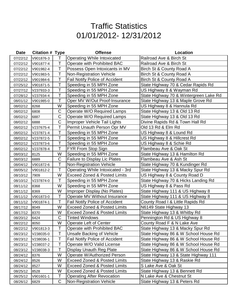| <b>Date</b> | <b>Citation # Type</b> |             | <b>Offense</b>                          | Location                               |
|-------------|------------------------|-------------|-----------------------------------------|----------------------------------------|
| 07/22/12    | V901876-3              | T           | <b>Operating While Intoxicated</b>      | Railroad Ave & Birch St                |
| 07/22/12    | V901877-4              | Т           | Operate with Prohibited BAC             | Railroad Ave & Birch St                |
| 07/22/12    | V901982-4              | T           | Possess Open Intoxicants in MV          | Birch St & County Road A               |
| 07/22/12    | V901983-5              | Т           | <b>Non-Registration Vehicle</b>         | Birch St & County Road A               |
| 07/22/12    | V901984-6              | T           | <b>Fail Notify Police of Accident</b>   | Birch St & County Road A               |
| 07/25/12    | V901871-5              | Т           | Speeding in 55 MPH Zone                 | State Highway 70 & Cedar Rapids Rd     |
| 07/27/12    | V237933-3              | T           | Speeding in 55 MPH Zone                 | US Highway 8 & Wayman Rd               |
| 07/28/12    | V237934-4              | T           | Speeding in 55 MPH Zone                 | State Highway 70 & Wintergreen Lake Rd |
| 08/01/12    | V901985-0              | Τ           | Oper MV W/Out Proof-Insurance           | State Highway 13 & Maple Grove Rd      |
| 08/02/12    | 8268                   | W           | Speeding in 55 MPH Zone                 | US Highway 8 & Hannula Rd              |
| 08/02/12    | 6808                   | $\mathsf C$ | Operate W/O Required Lamps              | State Highway 13 & Old 13 Rd           |
| 08/02/12    | 6887                   | $\mathsf C$ | Operate W/O Required Lamps              | State Highway 13 & Old 13 Rd           |
| 08/02/12    | 6888                   | C           | Improper Vehicle Tail Lights            | Divine Rapids Rd & Town Hall Rd        |
| 08/02/12    | V237675-4              | T           | Permit Unauth Person Opr MV             | Old 13 Rd & Elm Rd                     |
| 08/02/12    | V237871-4              | T           | Speeding in 55 MPH Zone                 | US Highway 8 & Lound Rd                |
| 08/02/12    | V237872-5              | T           | Speeding in 55 MPH Zone                 | US Highway 8 & Hillcrest Rd            |
| 08/02/12    | V237873-6              | T           | Speeding in 55 MPH Zone                 | US Highway 8 & Schie Rd                |
| 08/02/12    | V237878-4              | T           | <b>FYR From Stop Sign</b>               | Flambeau Ave & Oak St                  |
| 08/03/12    | 8125                   | W           | Speeding in 55 MPH Zone                 | State Highway 13 & Hamilton Rd         |
| 08/03/12    | 6889                   | $\mathsf C$ | <b>Failure to Display Lic Plates</b>    | Flambeau Ave & Ash St                  |
| 08/04/12    | V901872-6              | T           | <b>Non-Registration Vehicle</b>         | State Highway 70 & Kundinger Rd        |
| 08/05/12    | V901812-2              | Τ           | Operating While Intoxicated - 3rd       | State Highway 13 & Macky Spur Rd       |
| 08/10/12    | 7909                   | W           | <b>Exceed Zoned &amp; Posted Limits</b> | US Highway 8 & County Road D           |
| 08/10/12    | V237874-0              | Τ           | Speeding in 55 MPH Zone                 | State Highway 70 & Hicks Landing Rd    |
| 08/11/12    | 8368                   | W           | Speeding in 55 MPH Zone                 | US Highway 8 & Pass Rd                 |
| 08/11/12    | 8369                   | W           | Improper Display (No Plates)            | State Highway 111 & US Highway 8       |
| 08/11/12    | V901873-0              | T           | Operate MV Without Insurance            | State Highway 111 & US Highway 8       |
| 08/11/12    | V901874-1              | T           | <b>Fail Notify Police of Accident</b>   | County Road I & Little Rapids Rd       |
| 08/17/12    | 8049                   | W           | <b>Exceed Zoned &amp; Posted Limits</b> | N6149 State Highway 13                 |
| 08/17/12    | 8370                   | W           | <b>Exceed Zoned &amp; Posted Limits</b> | State Highway 13 & Whitby Rd           |
| 08/20/12    | 6424                   | C           | <b>Tinted Windows</b>                   | Pennington Rd & US Highway 8           |
| 08/22/12    | 8050                   | W           | Operate Left of Center                  | County Road F & N Lake Ave             |
| 08/22/12    | V901813-3              | Τ           | Operate with Prohibited BAC             | State Highway 13 & Macky Spur Rd       |
| 08/23/12    | V238035-0              | Τ           | Unsafe Backing of Vehicle               | State Highway 86 & W School House Rd   |
| 08/23/12    | V238036-1              | Т           | <b>Fail Notify Police of Accident</b>   | State Highway 86 & W School House Rd   |
| 08/23/12    | V238037-2              | T           | Operate W/O Valid License               | State Highway 86 & W School House Rd   |
| 08/23/12    | V238038-3              | Т           | Display Unauth Reg Plate                | State Highway 86 & W School House Rd   |
| 08/24/12    | 8376                   | W           | Operate W/Authorized Person             | State Highway 13 & State Highway 111   |
| 08/24/12    | 8526                   | W           | <b>Exceed Zoned &amp; Posted Limits</b> | State Highway 13 & Raskie Rd           |
| 08/24/12    | 8527                   | W           | <b>Exceed Zoned &amp; Posted Limits</b> | S Lake Ave & Oak St                    |
| 08/25/12    | 8528                   | W           | <b>Exceed Zoned &amp; Posted Limits</b> | State Highway 13 & Bennett Rd          |
| 08/25/12    | V901601-1              | Τ           | <b>Operating After Revocation</b>       | N Lake Ave & Chestnut St               |
| 08/26/12    | 6829                   | $\mathsf C$ | <b>Non-Registration Vehicle</b>         | State Highway 13 & Peters Rd           |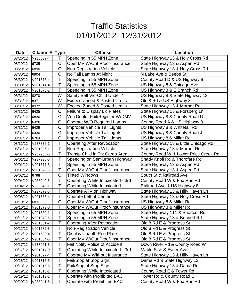| Date     | <b>Citation # Type</b> |                | <b>Offense</b>                          | Location                             |
|----------|------------------------|----------------|-----------------------------------------|--------------------------------------|
| 08/26/12 | V238039-4              | Τ              | Speeding in 55 MPH Zone                 | State Highway 13 & Holy Cross Rd     |
| 08/29/12 | 6735                   | C              | Oper MV W/Out Proof-Insurance           | State Highway 13 & Aspen Rd          |
| 08/29/12 | 6890                   | $\overline{C}$ | <b>Non-Registration Vehicle</b>         | State Highway 13 & Holy Cross Rd     |
| 08/30/12 | 6904                   | $\overline{C}$ | No Tail Lamps At Night                  | N Lake Ave & Beebe St                |
| 08/30/12 | V901576-4              | Ť              | Speeding in 55 MPH Zone                 | County Road D & US Highway 8         |
| 08/30/12 | V901814-4              | Т              | Speeding in 55 MPH Zone                 | US Highway 8 & Chicago Ave           |
| 08/30/12 | V901875-2              | T              | Speeding in 55 MPH Zone                 | US Highway 8 & E Branch Rd           |
| 08/31/12 | 8270                   | W              | Safety Belt Vio-Child Under 4           | US Highway 8 & State Highway 13      |
| 08/31/12 | 8371                   | W              | <b>Exceed Zoned &amp; Posted Limits</b> | Old 8 Rd & US Highway 8              |
| 08/31/12 | 8372                   | W              | <b>Exceed Zoned &amp; Posted Limits</b> | State Highway 13 & Morner Rd         |
| 08/31/12 | 6425                   | C              | <b>Failure to Display Lic Plates</b>    | State Highway 13 & Forsberg Ln       |
| 08/31/12 | 6830                   | $\mathsf C$    | Veh Dealer Fail/Register W/DMV          | US Highway 8 & County Road D         |
| 08/31/12 | 6426                   | C              | Operate W/O Required Lamps              | County Road A & US Highway 8         |
| 08/31/12 | 6429                   | $\overline{C}$ | Improper Vehicle Tail Lights            | US Highway 8 & Whitetail Rd          |
| 08/31/12 | 6430                   | $\mathsf C$    | Improper Vehicle Tail Lights            | US Highway 8 & County Road J         |
| 08/31/12 | 6764                   | C              | Improper Vehicle Tail Lights            | US Highway 8 & Miller Rd             |
| 08/31/12 | V237875-1              | Т              | <b>Operating After Revocation</b>       | State Highway 13 & Little Chicago Rd |
| 08/31/12 | V901986-1              | Τ              | <b>Non-Registration Vehicle</b>         | State Highway 13 & Morner Rd         |
| 09/01/12 | V237935-5              | Τ              | Transp Child in Trk Cargo Area          | County Road W & Lower Price Creek Rd |
| 09/01/12 | V237936-6              | Τ              | Speeding on Semiurban Highway           | Shady Knoll Rd & Thorofare Rd        |
| 09/01/12 | V901577-5              | T              | Speeding in 55 MPH Zone                 | State Highway 13 & Aspen Rd          |
| 09/01/12 | V901578-6              | Τ              | Oper MV W/Out Proof-Insurance           | State Highway 13 & Aspen Rd          |
| 09/02/12 | 6798                   | $\mathsf C$    | <b>Tinted Windows</b>                   | South St & Railroad Ave              |
| 09/04/12 | V238040-5              | Т              | Operating While Intoxicated - 3rd       | County Road W & Fox Run Rd           |
| 09/04/12 | V238043-1              | T              | <b>Operating While Intoxicated</b>      | Railroad Ave & US Highway 8          |
| 09/06/12 | V237879-5              | Τ              | Operate ATV on Highway                  | State Highway 13 & Hilly Haven Ln    |
| 09/08/12 | V901653-4              | T              | <b>Operate Left of Center</b>           | State Highway 13 & Holy Cross Rd     |
| 09/10/12 | 6831                   | $\mathsf C$    | Oper MV W/Out Proof-Insurance           | US Highway 8 & Miller Rd             |
| 09/10/12 | V901579-0              | Τ              | Oper MV W/Out Proof-Insurance           | US Highway 8 & Miller Rd             |
| 09/11/12 | V901580-1              | T              | Speeding in 55 MPH Zone                 | State Highway 111 & Shortcut Rd      |
| 09/11/12 | V901878-5              | Τ              | Speeding in 55 MPH Zone                 | State Highway 13 & Bennett Rd        |
| 09/12/12 | V901581-2              | T              | <b>Operating After Revocation</b>       | Old 8 Rd E & Progress St             |
| 09/12/12 | V901582-3              | Т              | <b>Non-Registration Vehicle</b>         | Old 8 Rd E & Progress St             |
| 09/12/12 | V901583-4              | T              | <b>Display Unauth Reg Plate</b>         | Old 8 Rd E & Progress St             |
| 09/12/12 | V901584-5              | Т              | Oper MV W/Out Proof-Insurance           | Old 8 Rd E & Progress St             |
| 09/17/12 | V237961-3              | T              | <b>Fail Notify Police of Accident</b>   | Down River Rd & County Road W        |
| 09/17/12 | V901817-0              | Т              | Operating While Intoxicated - 3rd       | Maple St & S Eyder Ave               |
| 09/18/12 | V901527-4              | Τ              | Operate MV Without Insurance            | State Highway 13 & Hilly Haven Ln    |
| 09/18/12 | V901815-5              | Т              | Fail/Stop at Stop Sign                  | Dama Rd & State Highway 13           |
| 09/18/12 | V901816-6              | Τ              | Fail/Stop at Stop Sign                  | State Highway 13 & Dama Rd           |
| 09/19/12 | V901818-1              | Т              | Operating While Intoxicated             | County Road E & Tower Rd             |
| 09/19/12 | V901819-2              | Т              | Operate with Prohibited BAC             | Tower Rd & County Road E             |
| 09/20/12 | V238041-6              | Т              | Operate with Prohibited BAC             | County Road W & Fox Run Rd           |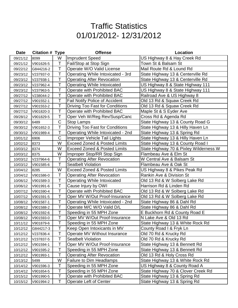| <b>Date</b> | <b>Citation # Type</b> |             | <b>Offense</b>                          | Location                               |
|-------------|------------------------|-------------|-----------------------------------------|----------------------------------------|
| 09/21/12    | 8099                   | W           | Imprudent Speed                         | US Highway 8 & Hay Creek Rd            |
| 09/21/12    | V901626-5              | Τ           | Fail/Stop at Stop Sign                  | Town St & Balsam St                    |
| 09/22/12    | G844216-2              | T           | Operate W/O Valid License               | Mail Route Rd & Lound Rd               |
| 09/23/12    | V237937-0              | Τ           | Operating While Intoxicated - 3rd       | State Highway 13 & Centerville Rd      |
| 09/23/12    | V237938-1              | Τ           | <b>Operating After Revocation</b>       | State Highway 13 & Centerville Rd      |
| 09/23/12    | V237962-4              | T           | <b>Operating While Intoxicated</b>      | US Highway 8 & State Highway 111       |
| 09/23/12    | V237963-5              | Τ           | Operate with Prohibited BAC             | US Highway 8 & State Highway 111       |
| 09/27/12    | V238044-2              | T           | Operate with Prohibited BAC             | Railroad Ave & US Highway 8            |
| 09/27/12    | V901552-1              | Τ           | <b>Fail Notify Police of Accident</b>   | Old 13 Rd & Squaw Creek Rd             |
| 09/27/12    | V901553-2              | T           | Driving Too Fast for Conditions         | Old 13 Rd & Squaw Creek Rd             |
| 09/27/12    | V901820-3              | Т           | Operate with Prohibited BAC             | Maple St & S Eyder Ave                 |
| 09/28/12    | V901829-5              | T           | Oper Veh W/Reg Rev/Susp/Canc            | Cross Rd & Agenda Rd                   |
| 09/30/12    | 6489                   | $\mathsf C$ | Stop Lamps                              | State Highway 13 & County Road G       |
| 09/30/12    | V901652-3              | T           | Driving Too Fast for Conditions         | State Highway 13 & Hilly Haven Ln      |
| 09/30/12    | V901989-4              | $\top$      | Operating While Intoxicated - 2nd       | State Highway 13 & Spring Rd           |
| 10/01/12    | 6906                   | $\mathsf C$ | Improper Vehicle Tail Lights            | State Highway 13 & Hilly Haven Ln      |
| 10/02/12    | 8373                   | W           | <b>Exceed Zoned &amp; Posted Limits</b> | State Highway 13 & County Road I       |
| 10/03/12    | 8374                   | W           | <b>Exceed Zoned &amp; Posted Limits</b> | State Highway 70 & Pixley Wilderness W |
| 10/03/12    | 8375                   | W           | Improper Stop/RR Stop Sign              | Flambeau Ave & Elm St                  |
| 10/03/12    | V237964-6              | Τ           | <b>Operating After Revocation</b>       | W Central Ave & Balsam St              |
| 10/03/12    | V901585-6              | T           | <b>Seatbelt Violation</b>               | Flambeau Ave & Oak St                  |
| 10/04/12    | 8285                   | W           | <b>Exceed Zoned &amp; Posted Limits</b> | US Highway 8 & Pikes Peak Rd           |
| 10/04/12    | V901586-0              | Τ           | <b>Operating After Revocation</b>       | Rankin Ave & Division St               |
| 10/06/12    | V901589-3              | T           | <b>Operating While Intoxicated</b>      | Old 13 Rd & W Solberg Lake Rd          |
| 10/06/12    | V901991-6              | Τ           | Cause Injury by OWI                     | Harrison Rd & Linden Rd                |
| 10/07/12    | V901590-4              | T           | Operate with Prohibited BAC             | Old 13 Rd & W Solberg Lake Rd          |
| 10/07/12    | V901591-5              | Τ           | Oper MV W/Out Proof-Insurance           | Old 13 Rd & W Solberg Lake Rd          |
| 10/08/12    | V901587-1              | T           | Operating While Intoxicated - 2nd       | State Highway 86 & Dahl Rd             |
| 10/08/12    | V901588-2              | T           | Operate M/C W/O Valid D/L               | State Highway 86 & Dahl Rd             |
| 10/08/12    | V901592-6              | $\bar{T}$   | Speeding in 55 MPH Zone                 | E Buckhorn Rd & County Road E          |
| 10/08/12    | V901593-0              | Т           | Oper MV W/Out Proof-Insurance           | N Lake Ave & Old 13 Rd                 |
| 10/11/12    | V901879-6              | Τ           | Speeding in 55 MPH Zone                 | State Highway 13 & White Rock Rd       |
| 10/12/12    | G844217-3              | Т           | Keep Open Intoxicants in MV             | County Road I & Fryk Ln                |
| 10/12/12    | V237836-4              | Τ           | Operate MV Without Insurance            | Old 70 Rd & Krucky Rd                  |
| 10/12/12    | V237837-5              | Τ           | <b>Seatbelt Violation</b>               | Old 70 Rd & Krucky Rd                  |
| 10/12/12    | V901594-1              | Τ           | Oper MV W/Out Proof-Insurance           | State Highway 13 & Bennett Rd          |
| 10/12/12    | V901595-2              | T           | Speeding in 55 MPH Zone                 | State Highway 13 & Bennett Rd          |
| 10/12/12    | V901993-1              | Τ           | <b>Operating After Revocation</b>       | Old 13 Rd & Holy Cross Rd              |
| 10/13/12    | 5499                   | W           | <b>Failure to Dim Headlamps</b>         | State Highway 13 & White Rock Rd       |
| 10/14/12    | V901596-3              | T           | Speeding in 55 MPH Zone                 | US Highway 8 & County Road A           |
| 10/14/12    | V901654-5              | T           | Speeding in 55 MPH Zone                 | State Highway 70 & Clover Creek Rd     |
| 10/15/12    | V901990-5              | Τ           | Operate with Prohibited BAC             | State Highway 13 & Spring Rd           |
| 10/15/12    | V901994-2              | Τ           | <b>Operate Left of Center</b>           | State Highway 13 & Spring Rd           |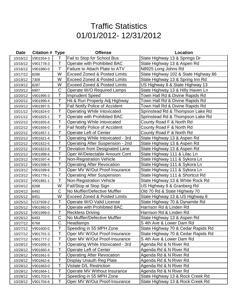| <b>Date</b> | <b>Citation # Type</b> |             | <b>Offense</b>                          | Location                             |
|-------------|------------------------|-------------|-----------------------------------------|--------------------------------------|
| 10/16/12    | V901554-3              | Τ           | Fail to Stop for School Bus             | State Highway 13 & Springs Dr        |
| 10/16/12    | V901778-3              | Т           | Operate with Prohibited BAC             | State Highway 13 & Aspen Rd          |
| 10/16/12    | V901880-0              | T           | Failure to Attach Plate to ATV          | N8925 Long Johns Rd                  |
| 10/17/12    | 8286                   | W           | <b>Exceed Zoned &amp; Posted Limits</b> | State Highway 102 & State Highway 86 |
| 10/19/12    | 7309                   | W           | <b>Exceed Zoned &amp; Posted Limits</b> | State Highway 13 & Spring Inn Rd     |
| 10/19/12    | 8287                   | W           | <b>Exceed Zoned &amp; Posted Limits</b> | US Highway 8 & State Highway 13      |
| 10/20/12    | 6907                   | C           | Operate W/O Required Lamps              | State Highway 13 & Hilly Haven Ln    |
| 10/20/12    | V901995-3              | Τ           | <b>Imprudent Speed</b>                  | Town Hall Rd & Divine Rapids Rd      |
| 10/20/12    | V901996-4              | T           | Hit & Run Property Adj Highway          | Town Hall Rd & Divine Rapids Rd      |
| 10/20/12    | V901997-5              | $\mathsf T$ | <b>Fail Notify Police of Accident</b>   | Town Hall Rd & Divine Rapids Rd      |
| 10/21/12    | V901824-0              | Т           | <b>Operating While Intoxicated</b>      | Sprinstead Rd & Thompson Lake Rd     |
| 10/21/12    | V901825-1              | T           | Operate with Prohibited BAC             | Sprinstead Rd & Thompson Lake Rd     |
| 10/22/12    | V901655-6              | T           | Operating While Intoxicated             | County Road F & North Rd             |
| 10/22/12    | V901656-0              | T           | <b>Fail Notify Police of Accident</b>   | County Road F & North Rd             |
| 10/22/12    | V901657-1              | Τ           | Operate Left of Center                  | County Road F & North Rd             |
| 10/22/12    | V901821-4              | T           | Operating While Intoxicated - 3rd       | State Highway 13 & Aspen Rd          |
| 10/22/12    | V901822-5              | T           | <b>Operating After Suspension - 2nd</b> | State Highway 13 & Aspen Rd          |
| 10/22/12    | V901823-6              | T           | Deviation from Designated Lane          | State Highway 13 & Aspen Rd          |
| 10/22/12    | V901998-6              | T           | Oper W/Detectable Amount Cont           | State Highway 111 & Lilac Ln         |
| 10/23/12    | V901597-4              | T           | <b>Non-Registration Vehicle</b>         | State Highway 111 & Sykora Ln        |
| 10/23/12    | V901598-5              | $\mathsf T$ | <b>Operating After Revocation</b>       | State Highway 111 & Sykora Ln        |
| 10/23/12    | V901599-6              | Τ           | Oper MV W/Out Proof-Insurance           | State Highway 111 & Sykora Ln        |
| 10/23/12    | V901776-1              | T           | <b>Operating After Suspension</b>       | State Highway 111 & Shortcut Rd      |
| 10/23/12    | V901881-1              | T           | <b>Non-Registration Vehicle</b>         | State Highway 13 & White Rock Rd     |
| 10/24/12    | 8288                   | W           | Fail/Stop at Stop Sign                  | US Highway 8 & Granberg Rd           |
| 10/24/12    | 6492                   | C           | No Muffler/Defective Muffler            | Old 70 Rd & State Highway 70         |
| 10/25/12    | 8451                   | W           | <b>Exceed Zoned &amp; Posted Limits</b> | State Highway 13 & US Highway 8      |
| 10/25/12    | V237939-2              | Τ           | Operate W/O Valid License               | State Highway 70 & Dynamite Rd       |
| 10/25/12    | V901992-0              | Τ           | Operate with Prohibited BAC             | Harrison Rd & Linden Rd              |
| 10/25/12    | V901999-0              | T           | <b>Reckless Driving</b>                 | Harrison Rd & Linden Rd              |
| 10/26/12    | 6493                   | C           | No Muffler/Defective Muffler            | State Highway 13 & Aspen Rd          |
| 10/27/12    | 6768                   | C           | Headlamps                               | S 4th Ave & Lower Dam Rd             |
| 10/27/12    | V901600-0              | T           | Speeding in 55 MPH Zone                 | State Highway 70 & Cedar Rapids Rd   |
| 10/27/12    | V901701-3              | T           | Oper MV W/Out Proof-Insurance           | State Highway 70 & Cedar Rapids Rd   |
| 10/27/12    | V901777-2              | Т           | Oper MV W/Out Proof-Insurance           | S 4th Ave & Lower Dam Rd             |
| 10/28/12    | V901659-3              | T           | Operating While Intoxicated - 3rd       | Agenda Rd & N River Rd               |
| 10/28/12    | V901660-4              | Τ           | Operate Left of Center                  | Agenda Rd & N River Rd               |
| 10/28/12    | V901661-5              | Τ           | <b>Operating After Revocation</b>       | Agenda Rd & N River Rd               |
| 10/28/12    | V901662-6              | Τ           | Display Unauth Reg Plate                | Agenda Rd & N River Rd               |
| 10/28/12    | V901663-0              | Τ           | Violate D/L Restriction                 | Agenda Rd & N River Rd               |
| 10/28/12    | V901664-1              | T           | Operate MV Without Insurance            | Agenda Rd & N River Rd               |
| 10/28/12    | V901703-5              | Т           | Speeding in 55 MPH Zone                 | State Highway 13 & Rock Creek Rd     |
| 10/28/12    | V901704-6              | Τ           | Oper MV W/Out Proof-Insurance           | State Highway 13 & Rock Creek Rd     |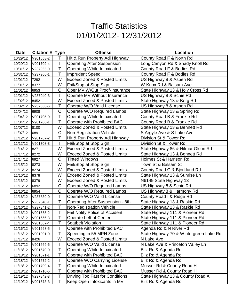| Date     | <b>Citation # Type</b> |             | <b>Offense</b>                          | Location                               |
|----------|------------------------|-------------|-----------------------------------------|----------------------------------------|
| 10/29/12 | V901658-2              | T           | Hit & Run Property Adj Highway          | County Road F & North Rd               |
| 10/29/12 | V901702-4              | Т           | <b>Operating After Suspension</b>       | Long Canyon Rd & Shady Knoll Rd        |
| 10/31/12 | V237965-0              | T           | <b>Operating While Intoxicated</b>      | County Road F & Bodies Rd              |
| 10/31/12 | V237966-1              | T           | <b>Imprudent Speed</b>                  | County Road F & Bodies Rd              |
| 11/01/12 | 7292                   | W           | <b>Exceed Zoned &amp; Posted Limits</b> | US Highway 8 & Aspen Rd                |
| 11/01/12 | 8377                   | W           | Fail/Stop at Stop Sign                  | W Knox Rd & Balsam Ave                 |
| 11/01/12 | 6953                   | $\mathsf C$ | Oper MV W/Out Proof-Insurance           | State Highway 13 & Holy Cross Rd       |
| 11/01/12 | V237940-3              | Т           | Operate MV Without Insurance            | US Highway 8 & Schie Rd                |
| 11/02/12 | 8452                   | W           | <b>Exceed Zoned &amp; Posted Limits</b> | State Highway 13 & Berg Rd             |
| 11/02/12 | V237838-6              | Τ           | Operate W/O Valid License               | US Highway 8 & Aspen Rd                |
| 11/04/12 | 6908                   | C           | Operate W/O Required Lamps              | State Highway 13 & Spring Rd           |
| 11/04/12 | V901705-0              | T           | <b>Operating While Intoxicated</b>      | County Road B & Frankie Rd             |
| 11/04/12 | V901706-1              | Τ           | Operate with Prohibited BAC             | County Road B & Frankie Rd             |
| 11/07/12 | 8100                   | W           | <b>Exceed Zoned &amp; Posted Limits</b> | State Highway 13 & Bennett Rd          |
| 11/07/12 | 6891                   | C           | <b>Non-Registration Vehicle</b>         | S Argyle Ave & S Lake Ave              |
| 11/12/12 | V901707-2              | Т           | Hit & Run Property Adj Highway          | Division St & Tower Rd                 |
| 11/12/12 | V901708-3              | Т           | Fail/Stop at Stop Sign                  | Division St & Tower Rd                 |
| 11/14/12 | 8271                   | W           | <b>Exceed Zoned &amp; Posted Limits</b> | State Highway 86 & Hilmar Olson Rd     |
| 11/14/12 | 8272                   | W           | <b>Exceed Zoned &amp; Posted Limits</b> | State Highway 13 & Bennett Rd          |
| 11/14/12 | 6927                   | C           | <b>Tinted Windows</b>                   | Holmes St & Harrison Rd                |
| 11/15/12 | 8273                   | W           | Fail/Stop at Stop Sign                  | Town St & Balsam St                    |
| 11/15/12 | 8274                   | W           | <b>Exceed Zoned &amp; Posted Limits</b> | County Road G & Bjorklund Rd           |
| 11/16/12 | 8378                   | W           | <b>Exceed Zoned &amp; Posted Limits</b> | State Highway 13 & Sunrise Ln          |
| 11/16/12 | 8379                   | W           | <b>Exceed Zoned &amp; Posted Limits</b> | N6149 State Highway 13                 |
| 11/16/12 | 6892                   | C           | Operate W/O Required Lamps              | US Highway 8 & Schie Rd                |
| 11/16/12 | 6954                   | C           | Operate W/O Required Lamps              | US Highway 8 & Harmony Rd              |
| 11/16/12 | V237839-0              | Т           | Operate W/O Valid License               | County Road I & Ridge Rd               |
| 11/16/12 | V237840-1              | T           | <b>Operating After Suspension - 8th</b> | State Highway 13 & Raskie Rd           |
| 11/16/12 | V237841-2              | Τ           | <b>Non-Registration Vehicle</b>         | State Highway 13 & Raskie Rd           |
| 11/16/12 | V901665-2              | $\tilde{T}$ | Fail Notify Police of Accident          | State Highway 111 & Pioneer Rd         |
| 11/16/12 | V901666-3              | Τ           | <b>Operate Left of Center</b>           | State Highway 111 & Pioneer Rd         |
| 11/16/12 | V901667-4              | Т           | <b>Seatbelt Violation</b>               | State Highway 111 & Pioneer Rd         |
| 11/16/12 | V901668-5              | Т           | Operate with Prohibited BAC             | Agenda Rd & N River Rd                 |
| 11/16/12 | V901901-0              | T           | Speeding in 55 MPH Zone                 | State Highway 70 & Wintergreen Lake Rd |
| 11/17/12 | 8426                   | W           | <b>Exceed Zoned &amp; Posted Limits</b> | N Lake Ave                             |
| 11/17/12 | V901669-6              | T           | Operate W/O Valid License               | N Lake Ave & Princeton Valley Ln       |
| 11/18/12 | V901670-0              | Т           | <b>Operating While Intoxicated</b>      | Bilz Rd & Agenda Rd                    |
| 11/18/12 | V901671-1              | T           | Operate with Prohibited BAC             | Bilz Rd & Agenda Rd                    |
| 11/18/12 | V901672-2              | Т           | Operate W/O Carrying License            | Bilz Rd & Agenda Rd                    |
| 11/18/12 | V901709-4              | Τ           | <b>Operating While Intoxicated</b>      | Musser Rd & County Road H              |
| 11/18/12 | V901710-5              | T           | Operate with Prohibited BAC             | Musser Rd & County Road H              |
| 11/19/12 | V237842-3              | Τ           | Driving Too Fast for Conditions         | State Highway 13 & County Road A       |
| 11/19/12 | V901673-3              | Τ           | Keep Open Intoxicants in MV             | Bilz Rd & Agenda Rd                    |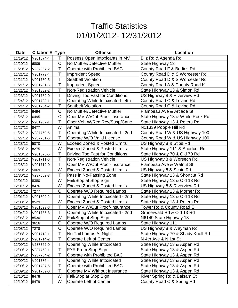| <b>Date</b> | <b>Citation # Type</b> |                   | <b>Offense</b>                          | Location                          |
|-------------|------------------------|-------------------|-----------------------------------------|-----------------------------------|
| 11/19/12    | V901674-4              | T                 | Possess Open Intoxicants in MV          | Bilz Rd & Agenda Rd               |
| 11/20/12    | 6809                   | $\mathsf C$       | No Muffler/Defective Muffler            | State Highway 13                  |
| 11/20/12    | V237967-2              | T                 | Operate with Prohibited BAC             | County Road F & Bodies Rd         |
| 11/21/12    | V901779-4              | Τ                 | <b>Imprudent Speed</b>                  | County Road D & S Worcester Rd    |
| 11/21/12    | V901780-5              | T                 | <b>Seatbelt Violation</b>               | County Road D & S Worcester Rd    |
| 11/21/12    | V901781-6              | Т                 | <b>Imprudent Speed</b>                  | County Road A & County Road K     |
| 11/21/12    | V901882-2              | T                 | <b>Non-Registration Vehicle</b>         | State Highway 13 & Simon Rd       |
| 11/23/12    | V901782-0              | T                 | <b>Driving Too Fast for Conditions</b>  | US Highway 8 & Riverview Rd       |
| 11/24/12    | V901783-1              | T                 | Operating While Intoxicated - 4th       | County Road C & Levine Rd         |
| 11/24/12    | V901784-2              | T                 | <b>Seatbelt Violation</b>               | County Road C & Levine Rd         |
| 11/25/12    | 6494                   | C                 | No Muffler/Defective Muffler            | Flambeau Ave & Arcade St          |
| 11/25/12    | 6495                   | $\overline{C}$    | Oper MV W/Out Proof-Insurance           | State Highway 13 & White Rock Rd  |
| 11/25/12    | V901902-1              | Τ                 | Oper Veh W/Reg Rev/Susp/Canc            | State Highway 13 & Peters Rd      |
| 11/27/12    | 8477                   | W                 | Animal                                  | N11339 Popple Hill Rd             |
| 11/27/12    | V237760-5              | Τ                 | Operating While Intoxicated - 2nd       | County Road W & US Highway 100    |
| 11/27/12    | V237761-6              | T                 | Operate W/O Valid License               | County Road W & US Highway 100    |
| 11/28/12    | 5070                   | W                 | <b>Exceed Zoned &amp; Posted Limits</b> | US Highway 8 & Stibs Rd           |
| 11/28/12    | 8275                   | W                 | <b>Exceed Zoned &amp; Posted Limits</b> | State Highway 111 & Shortcut Rd   |
| 11/28/12    | V901675-5              | Τ                 | Driving Too Fast for Conditions         | State Highway 70 & Old 70 Rd      |
| 11/28/12    | V901711-6              | T                 | <b>Non-Registration Vehicle</b>         | US Highway 8 & Worsech Rd         |
| 11/28/12    | V901712-0              | T                 | Oper MV W/Out Proof-Insurance           | Flambeau Ave & Walnut St          |
| 11/29/12    | 5069                   | W                 | <b>Exceed Zoned &amp; Posted Limits</b> | US Highway 8 & Schie Rd           |
| 11/30/12    | V237562-3              | T                 | Pass in No-Passing Zone                 | State Highway 13 & Shortcut Rd    |
| 12/01/12    | 8380                   | W                 | Fail/Stop at Stop Sign                  | State Highway 13 & Old 13 Rd      |
| 12/01/12    | 8476                   | W                 | <b>Exceed Zoned &amp; Posted Limits</b> | US Highway 8 & Riverview Rd       |
| 12/01/12    | 7277                   | C                 | Operate W/O Required Lamps              | State Highway 13 & Morner Rd      |
| 12/01/12    | V901602-2              | T                 | Operating While Intoxicated - 2nd       | State Highway 13 & Old 13 Rd      |
| 12/03/12    | 8529                   | W                 | <b>Exceed Zoned &amp; Posted Limits</b> | State Highway 13 & Peters Rd      |
| 12/03/12    | V901529-6              | Τ<br>$\mathbf{r}$ | Oper MV W/Out Proof-Insurance           | Tower Rd & County Road E          |
| 12/04/12    | V901785-3              | I.                | Operating While Intoxicated - 2nd       | Grunerwald Rd & Old 13 Rd         |
| 12/06/12    | 8530                   | W                 | Fail/Stop at Stop Sign                  | N6149 State Highway 13            |
| 12/07/12    | 3616                   | C                 | Operate W/O Required Lamps              | State Highway 111                 |
| 12/08/12    | 7278                   | $\mathsf C$       | Operate W/O Required Lamps              | US Highway 8 & Wayman Rd          |
| 12/08/12    | V901713-1              | Т                 | No Tail Lamps At Night                  | State Highway 70 & Shady Knoll Rd |
| 12/08/12    | V901714-2              | Τ                 | Operate Left of Center                  | N 4th Ave & N 1st St              |
| 12/09/12    | V237762-0              | T                 | <b>Operating While Intoxicated</b>      | State Highway 13 & Aspen Rd       |
| 12/09/12    | V237763-1              | Т                 | FYR From Stop Sign                      | State Highway 13 & Aspen Rd       |
| 12/09/12    | V237764-2              | T                 | Operate with Prohibited BAC             | State Highway 13 & Aspen Rd       |
| 12/09/12    | V901786-4              | Т                 | <b>Operating While Intoxicated</b>      | State Highway 13 & Aspen Rd       |
| 12/09/12    | V901787-5              | Т                 | Operate with Prohibited BAC             | State Highway 13 & Aspen Rd       |
| 12/09/12    | V901789-0              | T                 | Operate MV Without Insurance            | State Highway 13 & Aspen Rd       |
| 12/10/12    | 8478                   | W                 | Fail/Stop at Stop Sign                  | River Spring Rd & Balsam St       |
| 12/10/12    | 8479                   | W                 | Operate Left of Center                  | County Road C & Spring Rd         |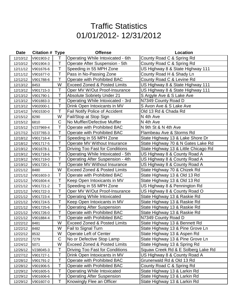| <b>Date</b> | <b>Citation # Type</b> |             | <b>Offense</b>                          | Location                             |
|-------------|------------------------|-------------|-----------------------------------------|--------------------------------------|
| 12/10/12    | V901903-2              | Т           | Operating While Intoxicated - 6th       | County Road C & Spring Rd            |
| 12/10/12    | V901904-3              | Т           | Operate After Suspension - 5th          | County Road C & Spring Rd            |
| 12/11/12    | V901676-6              | T           | Speeding in 55 MPH Zone                 | US Highway 8 & State Highway 111     |
| 12/11/12    | V901677-0              | Ť           | Pass in No-Passing Zone                 | County Road H & Shady Ln             |
| 12/12/12    | V901788-6              | T           | Operate with Prohibited BAC             | County Road C & Levine Rd            |
| 12/13/12    | 8453                   | W           | <b>Exceed Zoned &amp; Posted Limits</b> | US Highway 8 & State Highway 111     |
| 12/13/12    | V901715-3              | Τ           | Oper MV W/Out Proof-Insurance           | US Highway 8 & State Highway 111     |
| 12/13/12    | V901790-1              | Τ           | <b>Absolute Sobriety Under 21</b>       | S Argyle Ave & S Lake Ave            |
| 12/13/12    | V901883-3              | T           | Operating While Intoxicated - 3rd       | N7349 County Road D                  |
| 12/13/12    | V902000-1              | T           | Drink Open Intoxicants in MV            | S Avon Ave & S Lake Ave              |
| 12/14/12    | V901530-0              | Τ           | <b>Fail Notify Police of Accident</b>   | Old 13 Rd & Chada Rd                 |
| 12/15/12    | 8290                   | W           | Fail/Stop at Stop Sign                  | N 4th Ave                            |
| 12/15/12    | 6810                   | C           | No Muffler/Defective Muffler            | N 4th Ave                            |
| 12/15/12    | V237969-4              | T           | Operate with Prohibited BAC             | N 9th St & N 4th Ave                 |
| 12/17/12    | V237765-3              | Τ           | Operate with Prohibited BAC             | Flambeau Ave & Storms Rd             |
| 12/18/12    | V901716-4              | $\mathsf T$ | Speeding in 55 MPH Zone                 | State Highway 13 & Lake Shore Dr     |
| 12/18/12    | V901717-5              | Τ           | Operate MV Without Insurance            | State Highway 70 & N Gates Lake Rd   |
| 12/19/12    | V901678-1              | T           | <b>Driving Too Fast for Conditions</b>  | State Highway 13 & Little Chicago Rd |
| 12/19/12    | V901718-6              | T           | Operating While Intoxicated - 5th       | US Highway 8 & County Road A         |
| 12/19/12    | V901719-0              | Τ           | <b>Operating After Suspension - 4th</b> | US Highway 8 & County Road A         |
| 12/19/12    | V901720-1              | T           | Operate MV Without Insurance            | US Highway 8 & County Road A         |
| 12/21/12    | 8480                   | W           | <b>Exceed Zoned &amp; Posted Limits</b> | State Highway 70 & Chizek Rd         |
| 12/21/12    | V901603-3              | Τ           | Operate with Prohibited BAC             | State Highway 13 & Old 13 Rd         |
| 12/21/12    | V901604-4              | Τ           | Keep Open Intoxicants in MV             | State Highway 13 & Old 13 Rd         |
| 12/21/12    | V901721-2              | T           | Speeding in 55 MPH Zone                 | US Highway 8 & Pennington Rd         |
| 12/21/12    | V901722-3              | Т           | Oper MV W/Out Proof-Insurance           | US Highway 8 & County Road O         |
| 12/21/12    | V901723-4              | T           | <b>Operating While Intoxicated</b>      | State Highway 13 & Raskie Rd         |
| 12/21/12    | V901724-5              | T           | Keep Open Intoxicants in MV             | State Highway 13 & Raskie Rd         |
| 12/21/12    | V901725-6              | Т           | <b>Operating After Suspension</b>       | State Highway 13 & Raskie Rd         |
| 12/21/12    | V901726-0              | $\tilde{T}$ | Operate with Prohibited BAC             | State Highway 13 & Raskie Rd         |
| 12/21/12    | V901884-4              | Τ           | Operate with Prohibited BAC             | N7349 County Road D                  |
| 12/22/12    | 8481                   | W           | <b>Exceed Zoned &amp; Posted Limits</b> | State Highway 13 & Bennett Rd        |
| 12/22/12    | 8482                   | W           | Fail to Signal Turn                     | State Highway 13 & Pine Grove Ln     |
| 12/22/12    | 8532                   | W           | Operate Left of Center                  | State Highway 13 & Aspen Rd          |
| 12/22/12    | 7279                   | C           | No or Defective Stop Lamp               | State Highway 13 & Pine Grove Ln     |
| 12/24/12    | 5071                   | W           | <b>Exceed Zoned &amp; Posted Limits</b> | State Highway 13 & Spring Rd         |
| 12/26/12    | V238045-3              | Τ           | Driving Too Fast for Conditions         | Squaw Creek Rd & E Solberg Lake Rd   |
| 12/27/12    | V901727-1              | Τ           | Drink Open Intoxicants in MV            | US Highway 8 & County Road A         |
| 12/28/12    | V901791-2              | Τ           | Operate with Prohibited BAC             | Grunerwald Rd & Old 13 Rd            |
| 12/28/12    | V901906-5              | Τ           | Operate with Prohibited BAC             | County Road C & Spring Rd            |
| 12/29/12    | V901605-5              | Т           | Operating While Intoxicated             | State Highway 13 & Larkin Rd         |
| 12/29/12    | V901606-6              | Τ           | <b>Operating After Suspension</b>       | State Highway 13 & Larkin Rd         |
| 12/29/12    | V901607-0              | Τ           | Knowingly Flee an Officer               | State Highway 13 & Larkin Rd         |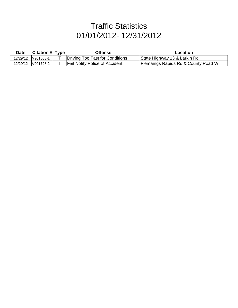| Date     | <b>Citation # Type</b> | Offense                               | Location                                       |
|----------|------------------------|---------------------------------------|------------------------------------------------|
|          |                        | Driving Too Fast for Conditions       | State Highway 13 & Larkin Rd                   |
| 12/29/12 | V901728-2              | <b>Fail Notify Police of Accident</b> | <b>Flemaings Rapids Rd &amp; County Road W</b> |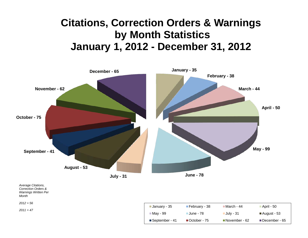# **Citations, Correction Orders & Warnings by Month Statistics January 1, 2012 - December 31, 2012**



*2011 = 47* 

| January - 35     | $\blacksquare$ February - 38 | ⊟March - 44   | ■ April - 50  |
|------------------|------------------------------|---------------|---------------|
| <b>■Mav - 99</b> | ■June - 78                   | July - 31     | ■August - 53  |
| ■ September - 41 | ■October - 75                | November - 62 | December - 65 |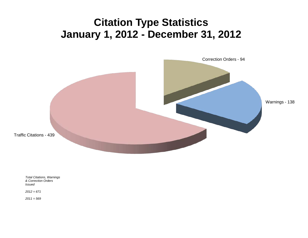# **Citation Type Statistics January 1, 2012 - December 31, 2012**



*Total Citations, Warnings & Correction Orders Issued*

*2012 = 671*

*2011 = 569*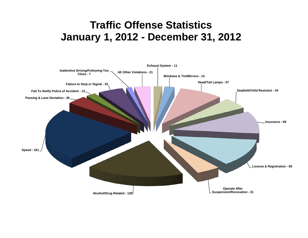# **Traffic Offense Statistics January 1, 2012 - December 31, 2012**

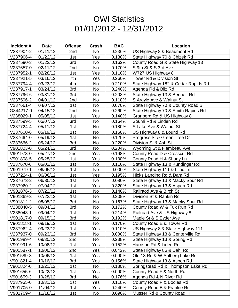### **OWI Statistics** 01/01/2012 - 12/31/2012

| Incident# | <b>Date</b> | <b>Offense</b> | Crash     | <b>BAC</b> | <b>Location</b>                     |
|-----------|-------------|----------------|-----------|------------|-------------------------------------|
| V237904-2 | 01/11/12    | 2nd            | No        | 0.236%     | US Highway 8 & Beaumont Rd          |
| V237906-4 | 01/22/12    | 1st            | Yes       | 0.180%     | State Highway 70 & Chizek Rd        |
| V237590-3 | 01/22/12    | 3rd            | No        | 0.162%     | County Road G & State Highway 13    |
| V237657-0 | 02/11/12    | 2nd            | No        | 0.170%     | S 9th St & S 3rd Ave                |
| V237952-1 | 02/28/12    | 1st            | Yes       | 0.110%     | W727 US Highway 8                   |
| V237921-5 | 03/16/12    | 7th            | Yes       | 0.260%     | <b>Tower Rd &amp; Division St</b>   |
| V237794-4 | 03/23/12    | 4th            | No        | 0.210%     | State Highway 182 & Cedar Rapids Rd |
| V237917-1 | 03/24/12    | 3rd            | <b>No</b> | 0.240%     | Agenda Rd & Bilz Rd                 |
| V237796-6 | 03/31/12    | 3rd            | <b>No</b> | 0.208%     | State Highway 13 & Bennett Rd       |
| V237596-2 | 04/01/12    | 2nd            | No        | 0.118%     | S Argyle Ave & Walnut St            |
| V237661-4 | 04/07/12    | 1st            | No        | 0.070%     | State Highway 70 & County Road B    |
| G844217-0 | 04/15/12    | 2nd            | No        | 0.260%     | State Highway 70 & Smith Rapids Rd  |
| V238029-1 | 05/05/12    | 1st            | Yes       | 0.140%     | Granberg Rd & US Highway 8          |
| V237599-5 | 05/07/12    | 3rd            | No        | 0.164%     | Soumi Rd & Linden Rd                |
| V237724-4 | 05/11/12    | 1st            | No        | 0.180%     | S Lake Ave & Walnut St              |
| V237600-6 | 05/19/12    | 1st            | No        | 0.160%     | US Highway 8 & Lound Rd             |
| V237664-0 | 05/19/12    | 1st            | No        | 0.120%     | Progress St & Green Tree Dr         |
| V237666-2 | 05/24/12    | 3rd            | No        | 0.220%     | Division St & Ash St                |
| V901803-0 | 05/24/12    | 3rd            | No        | 0.204%     | Wyoming St & Flambeau Ave           |
| V901978-0 | 05/27/12    | 2nd            | Yes       | 0.168%     | County Road D & Crosscut Rd         |
| V901808-5 | 05/28/12    | 1st            | Yes       | 0.130%     | County Road H & Shady Ln            |
| V237670-6 | 06/02/12    | 1st            | No        | 0.110%     | State Highway 13 & Kundinger Rd     |
| V901979-1 | 06/05/12    | 1st            | No        | 0.000%     | State Highway 111 & Lilac Ln        |
| V237224-1 | 06/06/12    | 1st            | Yes       | 0.195%     | Hicks Landing Rd & Dam Rd           |
| V237673-2 | 06/30/12    | 1st            | <b>No</b> | 0.080%     | State Highway 13 & Macky Spur Rd    |
| V237960-2 | 07/04/12    | 1st            | Yes       | 0.320%     | State Highway 13 & Aspen Rd         |
| V901876-3 | 07/22/12    | 1st            | No        | 0.140%     | Railraod Ave & Birch St             |
| V901869-3 | 07/22/12    | 1st            | No        | 0.209%     | Division St & Rankin Rd             |
| V901812-2 | 08/05/12    | 3rd            | No        | 0.167%     | State Highway 13 & Macky Spur Rd    |
| V238040-5 | 09/04/12    | 3rd            | <b>No</b> | 0.172%     | County Road W & Fux Run Rd          |
| V238043-1 | 09/04/12    | 1st            | No        | 0.214%     | Railroad Ave & US Highway 8         |
| V901817-0 | 09/15/12    | 3rd            | No        | 0.192%     | Maple St & S Eyder Ave              |
| V901818-1 | 09/19/12    | 1st            | No        | 0.170%     | County Road E & Tower Rd            |
| V237962-4 | 09/23/12    | 1st            | Yes       | 0.110%     | US Highway 8 & State Highway 111    |
| V237937-0 | 09/23/12    | 3rd            | No        | 0.000%     | State Highway 13 & Centerville Rd   |
| V901989-4 | 09/30/12    | 2nd            | No        | 0.238%     | State Highway 13 & Spring Rd        |
| V901991-6 | 10/06/12    | 1st            | Yes       | 0.152%     | Harrison Rd & Liden Rd              |
| V901587-1 | 10/06/12    | 2nd            | Yes       | 0.042%     | State Highway 86 & Dahl Rd          |
| V901589-3 | 10/06/12    | 1st            | Yes       | 0.090%     | Old 13 Rd & W Solberg Lake Rd       |
| V901821-4 | 10/16/12    | 3rd            | Yes       | 0.156%     | State Highway 13 & Aspen Rd         |
| V901824-0 | 10/21/12    | 1st            | No        | 0.130%     | Springstead Rd & Thompson Lake Rd   |
| V901655-6 | 10/22/12    | 1st            | Yes       | 0.000%     | County Road F & North Rd            |
| V901659-3 | 10/28/12    | 3rd            | No        | 0.176%     | Agenda Rd & N River Rd              |
| V237965-0 | 10/31/12    | 1st            | Yes       | 0.118%     | County Road F & Bodies Rd           |
| V901705-0 | 11/04/12    | 1st            | Yes       | 0.240%     | County Road B & Frankie Rd          |
| V901709-4 | 11/18/12    | 1st            | No        | 0.090%     | Musser Rd & County Road H           |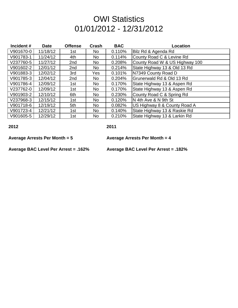#### **OWI Statistics** 01/01/2012 - 12/31/2012

| Incident# | <b>Date</b> | <b>Offense</b>  | Crash     | <b>BAC</b> | <b>Location</b>                |
|-----------|-------------|-----------------|-----------|------------|--------------------------------|
| V901670-0 | 11/18/12    | 1st             | No        | 0.110%     | Bilz Rd & Agenda Rd            |
| V901783-1 | 11/24/12    | 4th             | No        | 0.114%     | County Road C & Levine Rd      |
| V237760-5 | 11/27/12    | 2nd             | No        | 0.208%     | County Road W & US Highway 100 |
| V901602-2 | 12/01/12    | 2nd             | No        | 0.214%     | State Highway 13 & Old 13 Rd   |
| V901883-3 | 12/02/12    | 3rd             | Yes       | 0.101%     | N7349 County Road D            |
| V901785-3 | 12/04/12    | 2 <sub>nd</sub> | No        | 0.204%     | Grunerwald Rd & Old 13 Rd      |
| V901786-4 | 12/09/12    | 1st             | No        | 0.170%     | State Highway 13 & Aspen Rd    |
| V237762-0 | 12/09/12    | 1st             | No        | 0.170%     | State Highway 13 & Aspen Rd    |
| V901903-2 | 12/10/12    | 6th             | No.       | 0.230%     | County Road C & Spring Rd      |
| V237968-3 | 12/15/12    | 1st             | No        | 0.120%     | IN 4th Ave & N 9th St          |
| V901718-6 | 12/19/12    | 5th             | <b>No</b> | 0.082%     | US Highway 8 & County Road A   |
| V901723-4 | 12/21/12    | 1st             | <b>No</b> | 0.140%     | State Highway 13 & Raskie Rd   |
| V901605-5 | 12/29/12    | 1st             | No        | 0.210%     | State Highway 13 & Larkin Rd   |

**2012 2011**

**Average Arrests Per Month = 5 Average Arrests Per Month = 4**

**Average BAC Level Per Arrest = .162% Average BAC Level Per Arrest = .182%**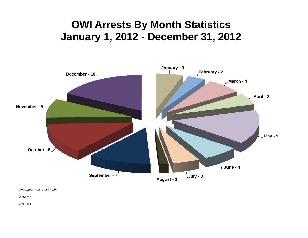# **OWI Arrests By Month Statistics January 1, 2012 - December 31, 2012**



*Average Arrests Per Month* 

*2012 = 5*

*2011 = 4*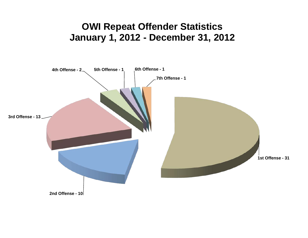### **OWI Repeat Offender Statistics January 1, 2012 - December 31, 2012**

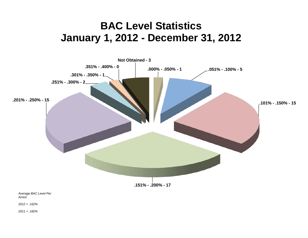# **BAC Level Statistics January 1, 2012 - December 31, 2012**



*2012 = .162%*

*2011 = .182%*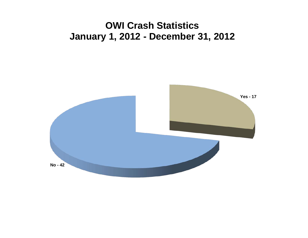### **OWI Crash Statistics January 1, 2012 - December 31, 2012**

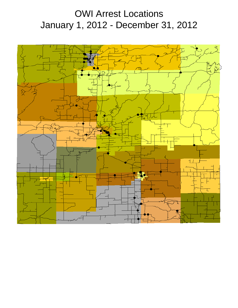## OWI Arrest Locations January 1, 2012 - December 31, 2012

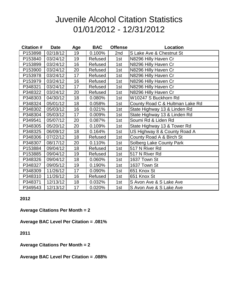#### Juvenile Alcohol Citation Statistics 01/01/2012 - 12/31/2012

| <b>Citation #</b> | <b>Date</b> | Age | <b>BAC</b> | <b>Offense</b> | Location                        |
|-------------------|-------------|-----|------------|----------------|---------------------------------|
| P153898           | 02/18/12    | 19  | 0.100%     | 2nd            | S Lake Ave & Chestnut St        |
| P153840           | 03/24/12    | 19  | Refused    | 1st            | N8296 Hilly Haven Cr            |
| P153899           | 03/24/12    | 16  | Refused    | 1st            | N8296 Hilly Haven Cr            |
| P153900           | 03/24/12    | 20  | Refused    | 1st            | N8296 Hilly Haven Cr            |
| P153978           | 03/24/12    | 17  | Refused    | 1st            | N8296 Hilly Haven Cr            |
| P153979           | 03/24/12    | 16  | Refused    | 1st            | N8296 Hilly Haven Cr            |
| P348321           | 03/24/12    | 17  | Refused    | 1st            | N8296 Hilly Haven Cr            |
| P348322           | 03/24/12    | 20  | Refused    | 1st            | N8296 Hilly Haven Cr            |
| P348303           | 04/30/12    | 18  | 0.080%     | 1st            | W10247 S Buckhorn Rd            |
| P348324           | 05/01/12    | 18  | 0.058%     | 1st            | County Road C & Hultman Lake Rd |
| P348302           | 05/03/12    | 16  | 0.021%     | 1st            | State Highway 13 & Linden Rd    |
| P348304           | 05/03/12    | 17  | 0.009%     | 1st            | State Highway 13 & Linden Rd    |
| P349541           | 05/07/12    | 20  | 0.087%     | 1st            | Soumi Rd & Liden Rd             |
| P348305           | 05/20/12    | 20  | 0.109%     | 1st            | State Highway 13 & Tower Rd     |
| P348325           | 06/09/12    | 18  | 0.164%     | 1st            | US Highway 8 & County Road A    |
| P348306           | 07/22/12    | 18  | Refused    | 1st            | County Road A & Birch St        |
| P348307           | 08/17/12    | 20  | 0.110%     | 1st            | Solberg Lake County Park        |
| P153884           | 09/04/12    | 18  | Refused    | 1st            | 517 N River Rd                  |
| P153885           | 09/04/12    | 19  | Refused    | 1st            | 517 N River Rd                  |
| P348326           | 09/04/12    | 18  | 0.060%     | 1st            | 1637 Town St                    |
| P348327           | 09/05/12    | 19  | 0.190%     | 1st            | 1637 Town St                    |
| P348309           | 11/26/12    | 17  | 0.090%     | 1st            | 651 Knox St                     |
| P348310           | 11/26/12    | 16  | Refused    | 1st            | 651 Knox St                     |
| P348371           | 12/13/12    | 18  | 0.032%     | 1st            | S Avon Ave & S Lake Ave         |
| P349543           | 12/13/12    | 17  | 0.020%     | 1st            | S Avon Ave & S Lake Ave         |

#### **2012**

**Average Citations Per Month = 2**

**Average BAC Level Per Citation = .081%**

**2011**

**Average Citations Per Month = 2**

**Average BAC Level Per Citation = .088%**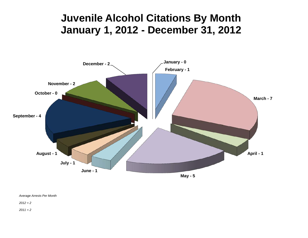## **Juvenile Alcohol Citations By Month January 1, 2012 - December 31, 2012**



*Average Arrests Per Month*

*2012 = 2*

*2011 = 2*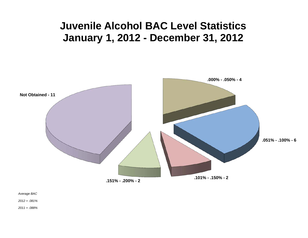# **Juvenile Alcohol BAC Level Statistics January 1, 2012 - December 31, 2012**



*Average BAC*

*2012 = .081%*

*Average BAC Level Per 2011 = .088%*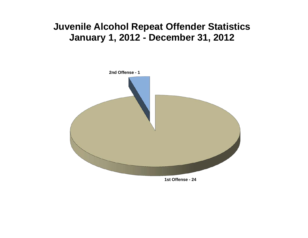### **Juvenile Alcohol Repeat Offender Statistics January 1, 2012 - December 31, 2012**

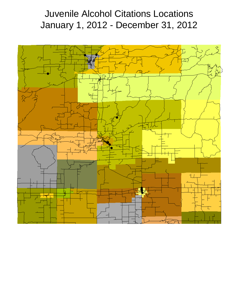### Juvenile Alcohol Citations Locations January 1, 2012 - December 31, 2012

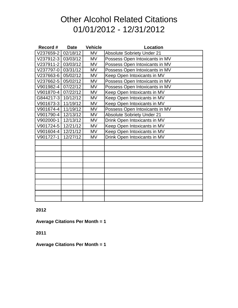#### Other Alcohol Related Citations 01/01/2012 - 12/31/2012

| Record #           | <b>Date</b> | <b>Vehicle</b> | <b>Location</b>                   |
|--------------------|-------------|----------------|-----------------------------------|
| V237659-2          | 02/18/12    | <b>MV</b>      | <b>Absolute Sobriety Under 21</b> |
| V237912-3 03/03/12 |             | <b>MV</b>      | Possess Open Intoxicants in MV    |
| V237911-2          | 03/03/12    | <b>MV</b>      | Possess Open Intoxicants in MV    |
| V237797-0          | 03/31/12    | <b>MV</b>      | Possess Open Intoxicants in MV    |
| V237663-6          | 05/02/12    | <b>MV</b>      | Keep Open Intoxicants in MV       |
| V237662-5          | 05/02/12    | <b>MV</b>      | Possess Open Intoxicants in MV    |
| V901982-4          | 07/22/12    | <b>MV</b>      | Possess Open Intoxicants in MV    |
| V901870-4          | 07/22/12    | MV             | Keep Open Intoxicants in MV       |
| G844217-3 10/12/12 |             | <b>MV</b>      | Keep Open Intoxicants in MV       |
| V901673-3          | 11/19/12    | <b>MV</b>      | Keep Open Intoxicants in MV       |
| V901674-4          | 11/19/12    | <b>MV</b>      | Possess Open Intoxicants in MV    |
| V901790-4          | 12/13/12    | <b>MV</b>      | <b>Absolute Sobriety Under 21</b> |
| V902000-1          | 12/13/12    | <b>MV</b>      | Drink Open Intoxicants in MV      |
| V901724-5          | 12/21/12    | MV             | Keep Open Intoxicants in MV       |
| V901604-4          | 12/21/12    | <b>MV</b>      | Keep Open Intoxicants in MV       |
| V901727-1          | 12/27/12    | MV             | Drink Open Intoxicants in MV      |
|                    |             |                |                                   |
|                    |             |                |                                   |
|                    |             |                |                                   |
|                    |             |                |                                   |
|                    |             |                |                                   |
|                    |             |                |                                   |
|                    |             |                |                                   |
|                    |             |                |                                   |
|                    |             |                |                                   |
|                    |             |                |                                   |
|                    |             |                |                                   |

#### **2012**

**Average Citations Per Month = 1**

**2011**

**Average Citations Per Month = 1**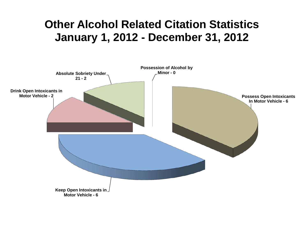# **Other Alcohol Related Citation Statistics January 1, 2012 - December 31, 2012**